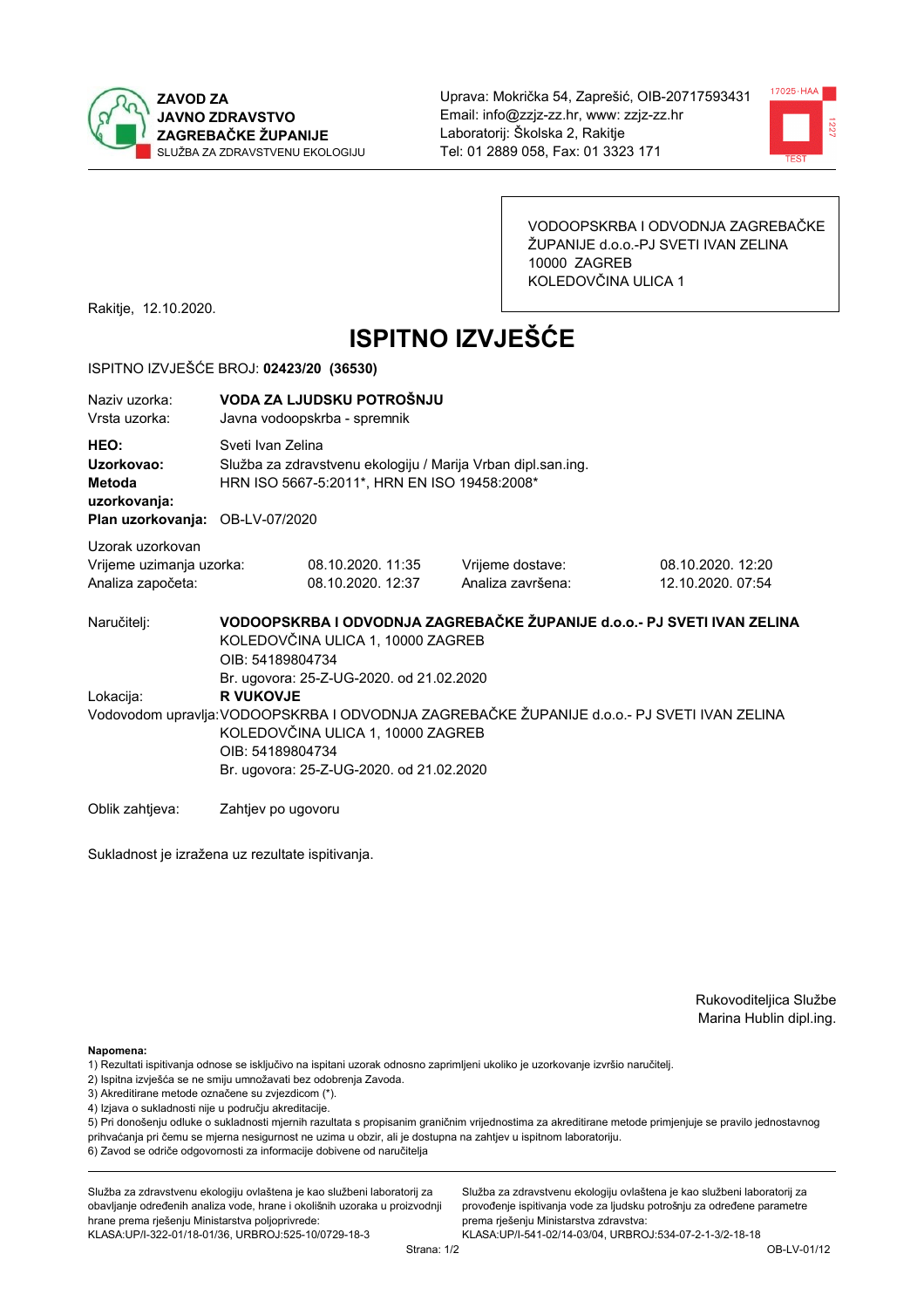



VODOOPSKRBA I ODVODNJA ZAGREBAČKE ŽUPANIJE d.o.o.-PJ SVETI IVAN ZELINA 10000 ZAGREB KOLEDOVČINA ULICA 1

Rakitje, 12.10.2020.

# **ISPITNO IZVJEŠĆE**

#### ISPITNO IZVJEŠĆE BROJ: 02423/20 (36530)

| Naziv uzorka:<br>Vrsta uzorka:                                                  | VODA ZA LJUDSKU POTROŠNJU<br>Javna vodoopskrba - spremnik                                                                                                                                                                                                        |                                                                                                                                   |                                                                         |                                        |  |  |
|---------------------------------------------------------------------------------|------------------------------------------------------------------------------------------------------------------------------------------------------------------------------------------------------------------------------------------------------------------|-----------------------------------------------------------------------------------------------------------------------------------|-------------------------------------------------------------------------|----------------------------------------|--|--|
| HEO:<br>Uzorkovao:<br>Metoda<br>uzorkovanja:<br>Plan uzorkovanja: OB-LV-07/2020 |                                                                                                                                                                                                                                                                  | Sveti Ivan Zelina<br>Služba za zdravstvenu ekologiju / Marija Vrban dipl.san.ing.<br>HRN ISO 5667-5:2011*, HRN EN ISO 19458:2008* |                                                                         |                                        |  |  |
| Uzorak uzorkovan<br>Vrijeme uzimanja uzorka:<br>Analiza započeta:               |                                                                                                                                                                                                                                                                  | 08.10.2020. 11:35<br>08.10.2020. 12:37                                                                                            | Vrijeme dostave:<br>Analiza završena:                                   | 08.10.2020. 12:20<br>12.10.2020. 07:54 |  |  |
| Naručitelj:                                                                     | OIB: 54189804734                                                                                                                                                                                                                                                 | KOLEDOVČINA ULICA 1, 10000 ZAGREB                                                                                                 | VODOOPSKRBA I ODVODNJA ZAGREBAČKE ŽUPANIJE d.o.o.- PJ SVETI IVAN ZELINA |                                        |  |  |
| Lokacija:                                                                       | Br. ugovora: 25-Z-UG-2020. od 21.02.2020<br><b>R VUKOVJE</b><br>Vodovodom upravlja: VODOOPSKRBA I ODVODNJA ZAGREBAČKE ŽUPANIJE d.o.o.- PJ SVETI IVAN ZELINA<br>KOLEDOVČINA ULICA 1, 10000 ZAGREB<br>OIB: 54189804734<br>Br. ugovora: 25-Z-UG-2020. od 21.02.2020 |                                                                                                                                   |                                                                         |                                        |  |  |
| Oblik zahtjeva:                                                                 | Zahtjev po ugovoru                                                                                                                                                                                                                                               |                                                                                                                                   |                                                                         |                                        |  |  |

Sukladnost je izražena uz rezultate ispitivanja.

Rukovoditeljica Službe Marina Hublin dipl.ing.

Napomena:

- 1) Rezultati ispitivanja odnose se isključivo na ispitani uzorak odnosno zaprimljeni ukoliko je uzorkovanje izvršio naručiteli.
- 2) Ispitna izvješća se ne smiju umnožavati bez odobrenja Zavoda.
- 3) Akreditirane metode označene su zvjezdicom (\*).
- 4) Izjava o sukladnosti nije u području akreditacije.

5) Pri donošenju odluke o sukladnosti mjernih razultata s propisanim graničnim vrijednostima za akreditirane metode primjenjuje se pravilo jednostavnog prihvaćanja pri čemu se mjerna nesigurnost ne uzima u obzir, ali je dostupna na zahtjev u ispitnom laboratoriju.

6) Zavod se odriče odgovornosti za informacije dobivene od naručitelja

Služba za zdravstvenu ekologiju ovlaštena je kao službeni laboratorij za obavljanje određenih analiza vode, hrane i okolišnih uzoraka u proizvodnji hrane prema rješenju Ministarstva poljoprivrede: KLASA: UP/I-322-01/18-01/36, URBROJ: 525-10/0729-18-3

Služba za zdravstvenu ekologiju ovlaštena je kao službeni laboratorij za provođenje ispitivanja vode za ljudsku potrošnju za određene parametre prema riešenju Ministarstva zdravstva: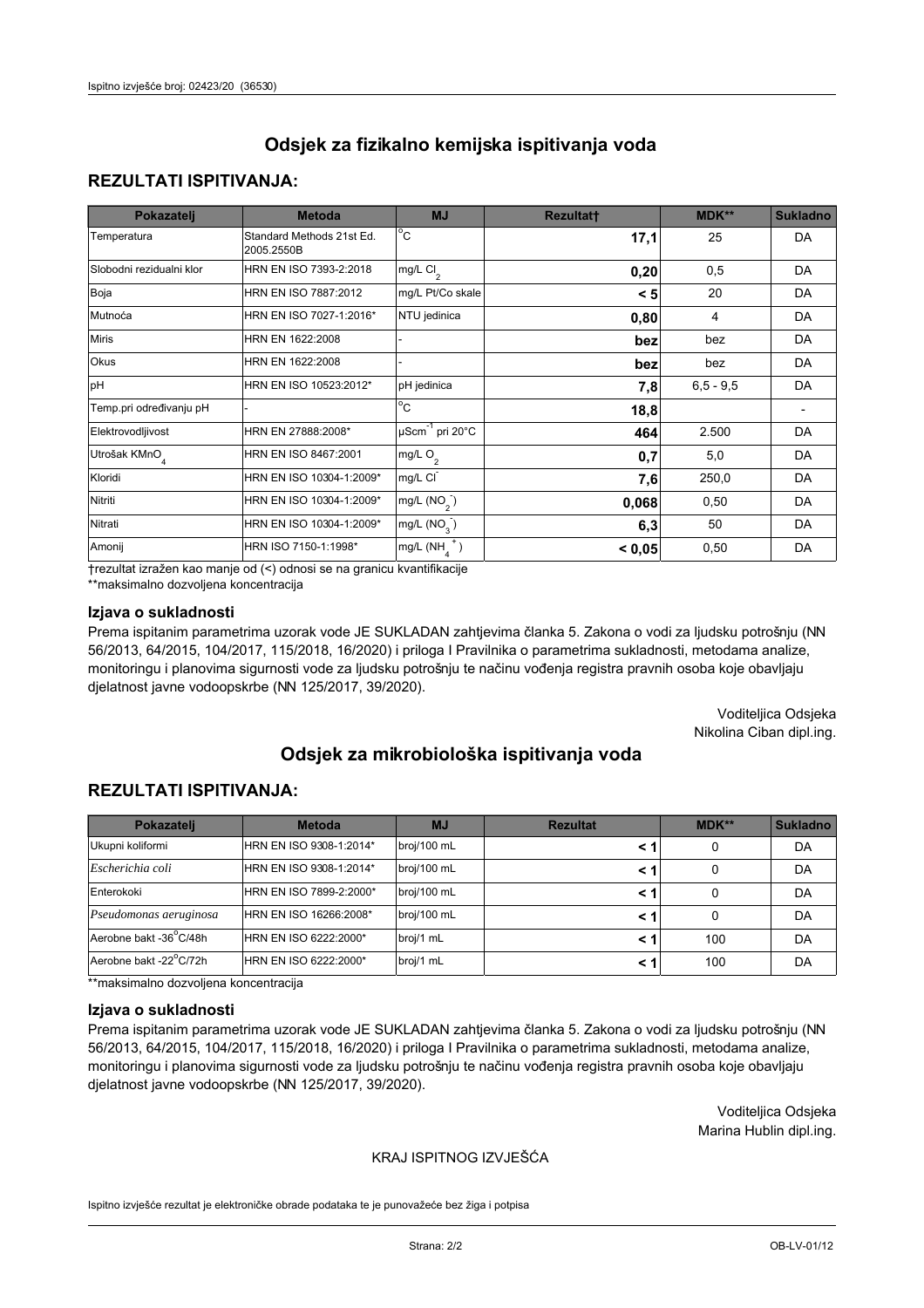### **REZULTATI ISPITIVANJA:**

| Pokazatelj                | <b>Metoda</b>                           | <b>MJ</b>                        | <b>Rezultatt</b> | MDK**       | <b>Sukladno</b> |
|---------------------------|-----------------------------------------|----------------------------------|------------------|-------------|-----------------|
| Temperatura               | Standard Methods 21st Ed.<br>2005.2550B | $^{\circ}$ C                     | 17,1             | 25          | <b>DA</b>       |
| Slobodni rezidualni klor  | HRN EN ISO 7393-2:2018                  | mg/L $Cl2$                       | 0,20             | 0,5         | <b>DA</b>       |
| Boja                      | HRN EN ISO 7887:2012                    | mg/L Pt/Co skale                 | < 5              | 20          | <b>DA</b>       |
| Mutnoća                   | HRN EN ISO 7027-1:2016*                 | NTU jedinica                     | 0,80             | 4           | DA              |
| <b>Miris</b>              | HRN EN 1622:2008                        |                                  | bez              | bez         | <b>DA</b>       |
| Okus                      | HRN EN 1622:2008                        |                                  | bez              | bez         | DA              |
| pH                        | HRN EN ISO 10523:2012*                  | pH jedinica                      | 7,8              | $6.5 - 9.5$ | <b>DA</b>       |
| Temp.pri određivanju pH   |                                         | $\overline{c}$                   | 18,8             |             |                 |
| Elektrovodljivost         | HRN EN 27888:2008*                      | $\mu$ Scm <sup>-1</sup> pri 20°C | 464              | 2.500       | DA              |
| Utrošak KMnO <sub>4</sub> | HRN EN ISO 8467:2001                    | mg/L O <sub>2</sub>              | 0,7              | 5,0         | <b>DA</b>       |
| Kloridi                   | HRN EN ISO 10304-1:2009*                | mg/L CI                          | 7,6              | 250,0       | DA              |
| Nitriti                   | HRN EN ISO 10304-1:2009*                | mg/L $(NO2)$                     | 0,068            | 0,50        | DA              |
| Nitrati                   | HRN EN ISO 10304-1:2009*                | mg/L $(NO3)$                     | 6,3              | 50          | <b>DA</b>       |
| Amonij                    | HRN ISO 7150-1:1998*                    | mg/L $(NH_A^+)$                  | < 0,05           | 0,50        | <b>DA</b>       |

trezultat izražen kao manje od (<) odnosi se na granicu kvantifikacije

\*\*maksimalno dozvoljena koncentracija

#### Izjava o sukladnosti

Prema ispitanim parametrima uzorak vode JE SUKLADAN zahtjevima članka 5. Zakona o vodi za ljudsku potrošnju (NN 56/2013, 64/2015, 104/2017, 115/2018, 16/2020) i priloga I Pravilnika o parametrima sukladnosti, metodama analize, monitoringu i planovima sigurnosti vode za ljudsku potrošnju te načinu vođenja registra pravnih osoba koje obavljaju djelatnost javne vodoopskrbe (NN 125/2017, 39/2020).

> Voditeljica Odsjeka Nikolina Ciban dipl.ing.

# Odsiek za mikrobiološka ispitivanja voda

### **REZULTATI ISPITIVANJA:**

| Pokazatelj             | <b>Metoda</b>           | <b>MJ</b>   | <b>Rezultat</b> | MDK** | <b>Sukladno</b> |
|------------------------|-------------------------|-------------|-----------------|-------|-----------------|
| Ukupni koliformi       | HRN EN ISO 9308-1:2014* | broj/100 mL |                 | 0     | DA              |
| Escherichia coli       | HRN EN ISO 9308-1:2014* | broj/100 mL | < 1             | 0     | DA              |
| Enterokoki             | HRN EN ISO 7899-2:2000* | broj/100 mL | < 1             | 0     | DA              |
| Pseudomonas aeruginosa | HRN EN ISO 16266:2008*  | broj/100 mL | < 1             | 0     | DA              |
| Aerobne bakt -36°C/48h | HRN EN ISO 6222:2000*   | broj/1 mL   |                 | 100   | DA              |
| Aerobne bakt -22°C/72h | HRN EN ISO 6222:2000*   | broj/1 mL   | < 1             | 100   | DA              |

\*\*maksimalno dozvoljena koncentracija

#### Izjava o sukladnosti

Prema ispitanim parametrima uzorak vode JE SUKLADAN zahtievima članka 5. Zakona o vodi za ljudsku potrošnju (NN 56/2013, 64/2015, 104/2017, 115/2018, 16/2020) i priloga I Pravilnika o parametrima sukladnosti, metodama analize, monitoringu i planovima sigurnosti vode za ljudsku potrošnju te načinu vođenja registra pravnih osoba koje obavljaju djelatnost javne vodoopskrbe (NN 125/2017, 39/2020).

> Voditeljica Odsjeka Marina Hublin dipl.ing.

#### KRAJ ISPITNOG IZVJEŠĆA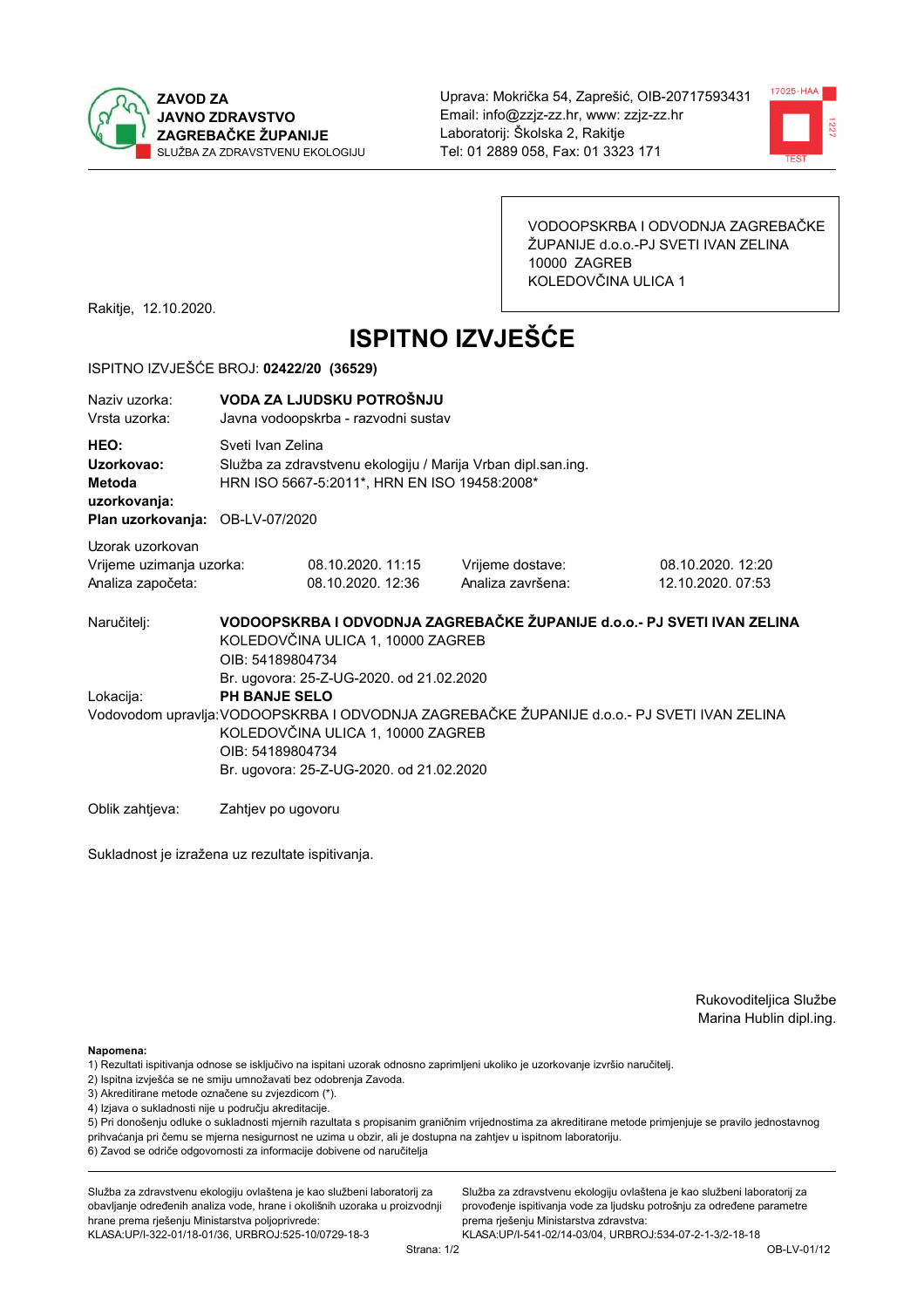



VODOOPSKRBA I ODVODNJA ZAGREBAČKE ŽUPANIJE d.o.o.-PJ SVETI IVAN ZELINA 10000 ZAGREB KOLEDOVČINA ULICA 1

Rakitje, 12.10.2020.

# **ISPITNO IZVJEŠĆE**

#### ISPITNO IZVJEŠĆE BROJ: 02422/20 (36529)

| Naziv uzorka:<br>Vrsta uzorka:                                                  |                                                                                                                                                                                                                                                                      | VODA ZA LJUDSKU POTROŠNJU<br>Javna vodoopskrba - razvodni sustav                                                                  |                                                                         |                                        |  |  |
|---------------------------------------------------------------------------------|----------------------------------------------------------------------------------------------------------------------------------------------------------------------------------------------------------------------------------------------------------------------|-----------------------------------------------------------------------------------------------------------------------------------|-------------------------------------------------------------------------|----------------------------------------|--|--|
| HEO:<br>Uzorkovao:<br>Metoda<br>uzorkovanja:<br>Plan uzorkovanja: OB-LV-07/2020 |                                                                                                                                                                                                                                                                      | Sveti Ivan Zelina<br>Služba za zdravstvenu ekologiju / Marija Vrban dipl.san.ing.<br>HRN ISO 5667-5:2011*, HRN EN ISO 19458:2008* |                                                                         |                                        |  |  |
| Uzorak uzorkovan<br>Vrijeme uzimanja uzorka:<br>Analiza započeta:               |                                                                                                                                                                                                                                                                      | 08.10.2020. 11:15<br>08.10.2020. 12:36                                                                                            | Vrijeme dostave:<br>Analiza završena:                                   | 08.10.2020. 12:20<br>12.10.2020. 07:53 |  |  |
| Naručitelj:                                                                     | OIB: 54189804734                                                                                                                                                                                                                                                     | KOLEDOVČINA ULICA 1, 10000 ZAGREB                                                                                                 | VODOOPSKRBA I ODVODNJA ZAGREBAČKE ŽUPANIJE d.o.o.- PJ SVETI IVAN ZELINA |                                        |  |  |
| Lokacija:                                                                       | Br. ugovora: 25-Z-UG-2020. od 21.02.2020<br><b>PH BANJE SELO</b><br>Vodovodom upravlja: VODOOPSKRBA I ODVODNJA ZAGREBAČKE ŽUPANIJE d.o.o.- PJ SVETI IVAN ZELINA<br>KOLEDOVČINA ULICA 1, 10000 ZAGREB<br>OIB: 54189804734<br>Br. ugovora: 25-Z-UG-2020. od 21.02.2020 |                                                                                                                                   |                                                                         |                                        |  |  |
| Oblik zahtjeva:                                                                 | Zahtjev po ugovoru                                                                                                                                                                                                                                                   |                                                                                                                                   |                                                                         |                                        |  |  |

Sukladnost je izražena uz rezultate ispitivanja.

Rukovoditeljica Službe Marina Hublin dipl.ing.

Napomena:

- 1) Rezultati ispitivanja odnose se isključivo na ispitani uzorak odnosno zaprimljeni ukoliko je uzorkovanje izvršio naručiteli.
- 2) Ispitna izvješća se ne smiju umnožavati bez odobrenja Zavoda.
- 3) Akreditirane metode označene su zvjezdicom (\*).
- 4) Izjava o sukladnosti nije u području akreditacije.

5) Pri donošenju odluke o sukladnosti mjernih razultata s propisanim graničnim vrijednostima za akreditirane metode primjenjuje se pravilo jednostavnog prihvaćanja pri čemu se mjerna nesigurnost ne uzima u obzir, ali je dostupna na zahtjev u ispitnom laboratoriju.

6) Zavod se odriče odgovornosti za informacije dobivene od naručitelja

Služba za zdravstvenu ekologiju ovlaštena je kao službeni laboratorij za obavljanje određenih analiza vode, hrane i okolišnih uzoraka u proizvodnji hrane prema rješenju Ministarstva poljoprivrede:

KLASA: UP/I-322-01/18-01/36, URBROJ: 525-10/0729-18-3

Služba za zdravstvenu ekologiju ovlaštena je kao službeni laboratorij za provođenje ispitivanja vode za ljudsku potrošnju za određene parametre prema riešenju Ministarstva zdravstva: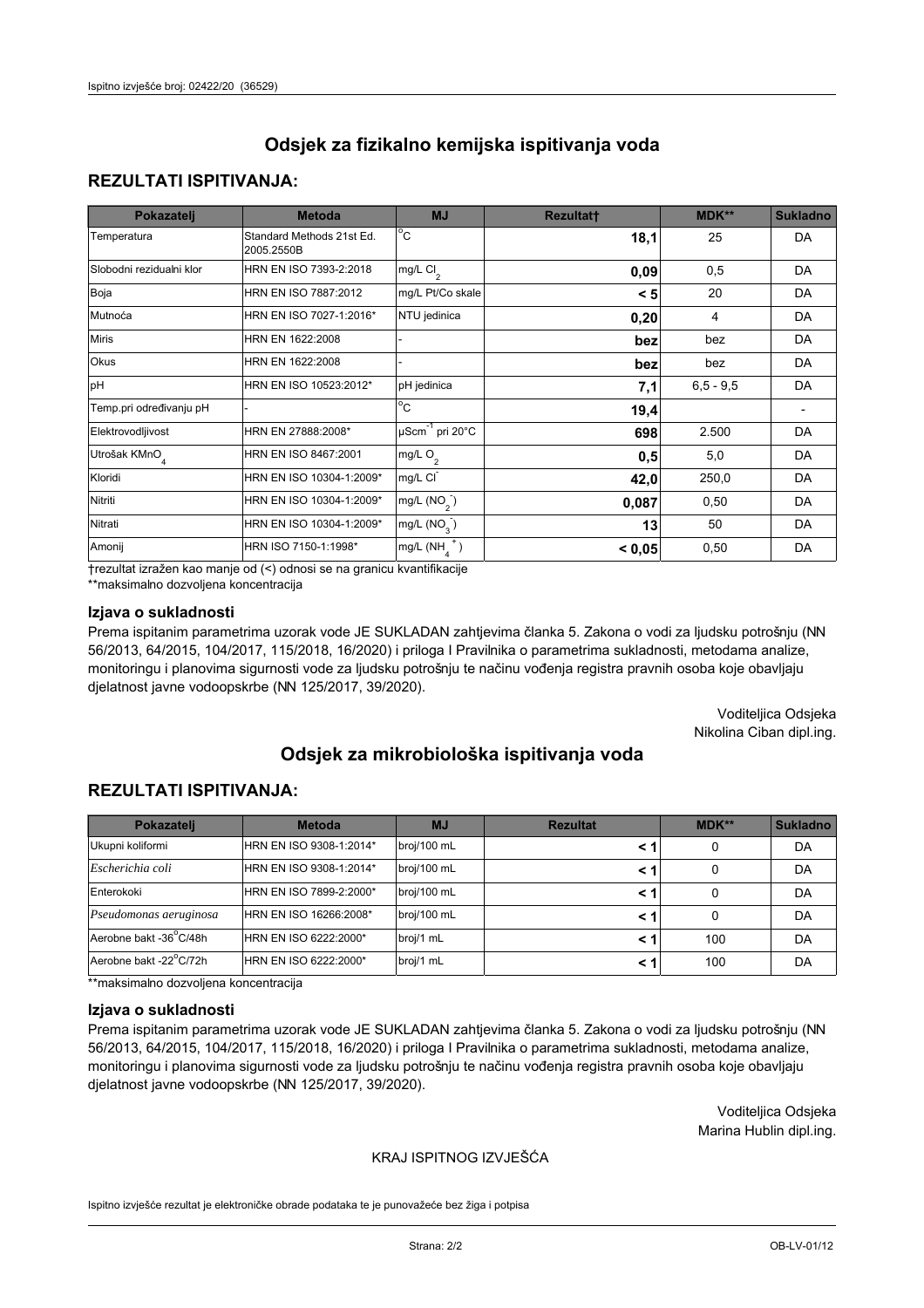## **REZULTATI ISPITIVANJA:**

| Pokazatelj                | <b>Metoda</b>                           | <b>MJ</b>                   | <b>Rezultatt</b> | <b>MDK**</b> | <b>Sukladno</b> |
|---------------------------|-----------------------------------------|-----------------------------|------------------|--------------|-----------------|
| Temperatura               | Standard Methods 21st Ed.<br>2005.2550B | $^{\circ}$ C                | 18,1             | 25           | <b>DA</b>       |
| Slobodni rezidualni klor  | HRN EN ISO 7393-2:2018                  | mg/L $Cl_2$                 | 0,09             | 0,5          | DA              |
| Boja                      | HRN EN ISO 7887:2012                    | mg/L Pt/Co skale            | < 5              | 20           | <b>DA</b>       |
| Mutnoća                   | HRN EN ISO 7027-1:2016*                 | NTU jedinica                | 0,20             | 4            | DA              |
| <b>Miris</b>              | HRN EN 1622:2008                        |                             | bez              | bez          | DA              |
| Okus                      | HRN EN 1622:2008                        |                             | bez              | bez          | DA              |
| pH                        | HRN EN ISO 10523:2012*                  | pH jedinica                 | 7,1              | $6.5 - 9.5$  | <b>DA</b>       |
| Temp.pri određivanju pH   |                                         | $\overline{c}$              | 19,4             |              |                 |
| Elektrovodljivost         | HRN EN 27888:2008*                      | µScm <sup>-1</sup> pri 20°C | 698              | 2.500        | DA              |
| Utrošak KMnO <sub>4</sub> | HRN EN ISO 8467:2001                    | mg/L O <sub>2</sub>         | 0,5              | 5,0          | DA              |
| Kloridi                   | HRN EN ISO 10304-1:2009*                | mg/L CI                     | 42,0             | 250,0        | DA              |
| Nitriti                   | HRN EN ISO 10304-1:2009*                | mg/L $(NO2)$                | 0,087            | 0,50         | DA              |
| Nitrati                   | HRN EN ISO 10304-1:2009*                | mg/L (NO <sub>3</sub> )     | 13               | 50           | DA              |
| Amonij                    | HRN ISO 7150-1:1998*                    | mg/L $(NH_A^+)$             | < 0,05           | 0,50         | DA              |

trezultat izražen kao manje od (<) odnosi se na granicu kvantifikacije

\*\*maksimalno dozvoljena koncentracija

#### Izjava o sukladnosti

Prema ispitanim parametrima uzorak vode JE SUKLADAN zahtjevima članka 5. Zakona o vodi za ljudsku potrošnju (NN 56/2013, 64/2015, 104/2017, 115/2018, 16/2020) i priloga I Pravilnika o parametrima sukladnosti, metodama analize, monitoringu i planovima sigurnosti vode za ljudsku potrošnju te načinu vođenja registra pravnih osoba koje obavljaju djelatnost javne vodoopskrbe (NN 125/2017, 39/2020).

> Voditeljica Odsjeka Nikolina Ciban dipl.ing.

# Odsiek za mikrobiološka ispitivanja voda

## **REZULTATI ISPITIVANJA:**

| Pokazatelj             | <b>Metoda</b>           | <b>MJ</b>   | <b>Rezultat</b> | MDK** | <b>Sukladno</b> |
|------------------------|-------------------------|-------------|-----------------|-------|-----------------|
| Ukupni koliformi       | HRN EN ISO 9308-1:2014* | broj/100 mL | < 1             | 0     | DA              |
| Escherichia coli       | HRN EN ISO 9308-1:2014* | broj/100 mL | < 1             | 0     | DA              |
| Enterokoki             | HRN EN ISO 7899-2:2000* | broj/100 mL | < 1             | 0     | DA              |
| Pseudomonas aeruginosa | HRN EN ISO 16266:2008*  | broj/100 mL | < 1             | 0     | DA              |
| Aerobne bakt -36°C/48h | HRN EN ISO 6222:2000*   | broj/1 mL   | < 1             | 100   | DA              |
| Aerobne bakt -22°C/72h | HRN EN ISO 6222:2000*   | broj/1 mL   | < 1             | 100   | DA              |

\*\*maksimalno dozvoljena koncentracija

#### Izjava o sukladnosti

Prema ispitanim parametrima uzorak vode JE SUKLADAN zahtievima članka 5. Zakona o vodi za ljudsku potrošnju (NN 56/2013, 64/2015, 104/2017, 115/2018, 16/2020) i priloga I Pravilnika o parametrima sukladnosti, metodama analize, monitoringu i planovima sigurnosti vode za ljudsku potrošnju te načinu vođenja registra pravnih osoba koje obavljaju djelatnost javne vodoopskrbe (NN 125/2017, 39/2020).

> Voditeljica Odsjeka Marina Hublin dipl.ing.

#### KRAJ ISPITNOG IZVJEŠĆA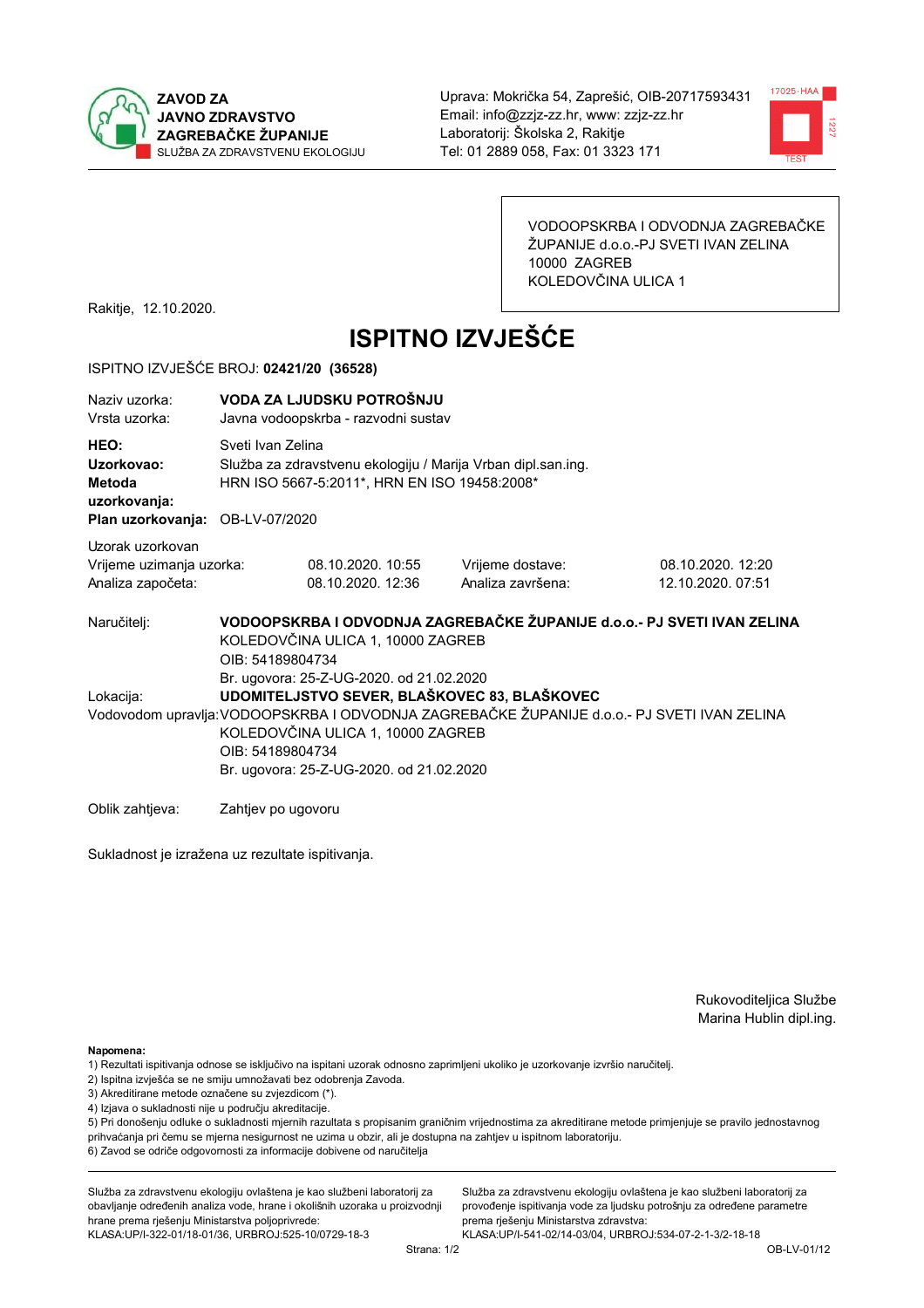



VODOOPSKRBA I ODVODNJA ZAGREBAČKE ŽUPANIJE d.o.o.-PJ SVETI IVAN ZELINA 10000 ZAGREB KOLEDOVČINA ULICA 1

Rakitje, 12.10.2020.

# **ISPITNO IZVJEŠĆE**

#### ISPITNO IZVJEŠĆE BROJ: 02421/20 (36528)

| Naziv uzorka:<br>Vrsta uzorka:                                           | VODA ZA LJUDSKU POTROŠNJU<br>Javna vodoopskrba - razvodni sustav                                                                                                                                                                                                                              |                                                                                                                                                    |                                       |                                        |  |  |
|--------------------------------------------------------------------------|-----------------------------------------------------------------------------------------------------------------------------------------------------------------------------------------------------------------------------------------------------------------------------------------------|----------------------------------------------------------------------------------------------------------------------------------------------------|---------------------------------------|----------------------------------------|--|--|
| HEO:<br>Uzorkovao:<br><b>Metoda</b><br>uzorkovanja:<br>Plan uzorkovanja: |                                                                                                                                                                                                                                                                                               | Sveti Ivan Zelina<br>Služba za zdravstvenu ekologiju / Marija Vrban dipl.san.ing.<br>HRN ISO 5667-5:2011*, HRN EN ISO 19458:2008*<br>OB-LV-07/2020 |                                       |                                        |  |  |
| Uzorak uzorkovan<br>Vrijeme uzimanja uzorka:<br>Analiza započeta:        |                                                                                                                                                                                                                                                                                               | 08.10.2020. 10:55<br>08.10.2020. 12:36                                                                                                             | Vrijeme dostave:<br>Analiza završena: | 08.10.2020. 12:20<br>12.10.2020. 07:51 |  |  |
| Naručitelj:                                                              |                                                                                                                                                                                                                                                                                               | VODOOPSKRBA I ODVODNJA ZAGREBAČKE ŽUPANIJE d.o.o.- PJ SVETI IVAN ZELINA<br>KOLEDOVČINA ULICA 1, 10000 ZAGREB<br>OIB: 54189804734                   |                                       |                                        |  |  |
| Lokacija:                                                                | Br. ugovora: 25-Z-UG-2020. od 21.02.2020<br>UDOMITELJSTVO SEVER, BLAŠKOVEC 83, BLAŠKOVEC<br>Vodovodom upravlja: VODOOPSKRBA I ODVODNJA ZAGREBAČKE ŽUPANIJE d.o.o. - PJ SVETI IVAN ZELINA<br>KOLEDOVČINA ULICA 1, 10000 ZAGREB<br>OIB: 54189804734<br>Br. ugovora: 25-Z-UG-2020. od 21.02.2020 |                                                                                                                                                    |                                       |                                        |  |  |

Oblik zahtjeva: Zahtjev po ugovoru

Sukladnost je izražena uz rezultate ispitivanja.

Rukovoditeljica Službe Marina Hublin dipl.ing.

Napomena:

- 1) Rezultati ispitivanja odnose se isključivo na ispitani uzorak odnosno zaprimljeni ukoliko je uzorkovanje izvršio naručiteli.
- 2) Ispitna izvješća se ne smiju umnožavati bez odobrenja Zavoda.
- 3) Akreditirane metode označene su zvjezdicom (\*).
- 4) Izjava o sukladnosti nije u području akreditacije.

5) Pri donošenju odluke o sukladnosti mjernih razultata s propisanim graničnim vrijednostima za akreditirane metode primjenjuje se pravilo jednostavnog prihvaćanja pri čemu se mjerna nesigurnost ne uzima u obzir, ali je dostupna na zahtjev u ispitnom laboratoriju.

6) Zavod se odriče odgovornosti za informacije dobivene od naručitelja

Služba za zdravstvenu ekologiju ovlaštena je kao službeni laboratorij za obavljanje određenih analiza vode, hrane i okolišnih uzoraka u proizvodnji hrane prema rješenju Ministarstva poljoprivrede: KLASA: UP/I-322-01/18-01/36, URBROJ: 525-10/0729-18-3

Služba za zdravstvenu ekologiju ovlaštena je kao službeni laboratorij za provođenje ispitivanja vode za ljudsku potrošnju za određene parametre prema riešenju Ministarstva zdravstva: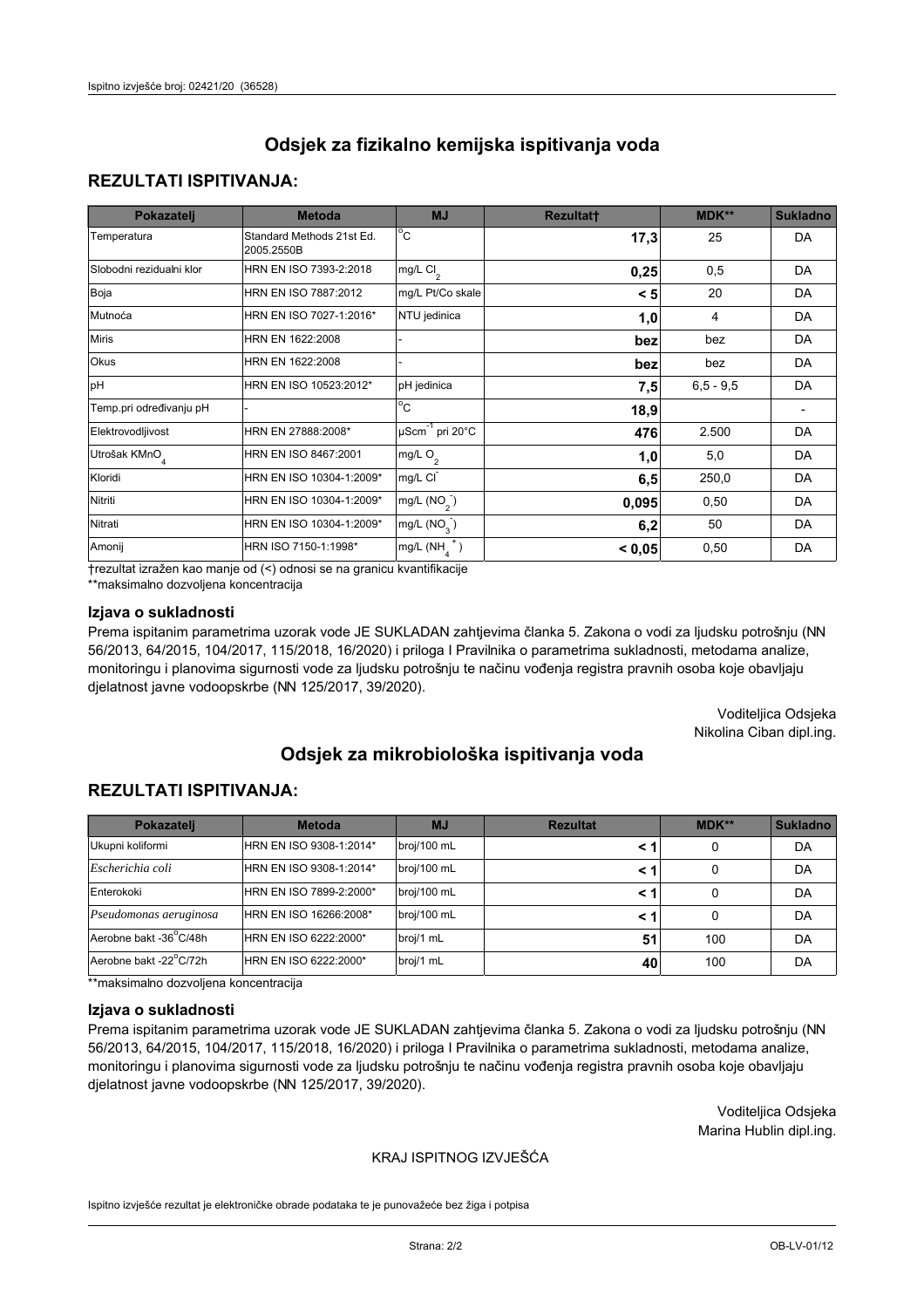## **REZULTATI ISPITIVANJA:**

| Pokazatelj                | <b>Metoda</b>                           | <b>MJ</b>                   | <b>Rezultatt</b> | <b>MDK**</b> | <b>Sukladno</b> |
|---------------------------|-----------------------------------------|-----------------------------|------------------|--------------|-----------------|
| Temperatura               | Standard Methods 21st Ed.<br>2005.2550B | $^{\circ}$ C                | 17,3             | 25           | <b>DA</b>       |
| Slobodni rezidualni klor  | HRN EN ISO 7393-2:2018                  | mg/L $Cl_2$                 | 0,25             | 0,5          | DA              |
| Boja                      | HRN EN ISO 7887:2012                    | mg/L Pt/Co skale            | < 5              | 20           | <b>DA</b>       |
| Mutnoća                   | HRN EN ISO 7027-1:2016*                 | NTU jedinica                | 1,0              | 4            | DA              |
| <b>Miris</b>              | HRN EN 1622:2008                        |                             | bez              | bez          | DA              |
| Okus                      | HRN EN 1622:2008                        |                             | bez              | bez          | DA              |
| pH                        | HRN EN ISO 10523:2012*                  | pH jedinica                 | 7,5              | $6.5 - 9.5$  | <b>DA</b>       |
| Temp.pri određivanju pH   |                                         | $\overline{c}$              | 18,9             |              |                 |
| Elektrovodljivost         | HRN EN 27888:2008*                      | µScm <sup>-1</sup> pri 20°C | 476              | 2.500        | DA              |
| Utrošak KMnO <sub>4</sub> | HRN EN ISO 8467:2001                    | mg/L O <sub>2</sub>         | 1,0              | 5,0          | DA              |
| Kloridi                   | HRN EN ISO 10304-1:2009*                | mg/L CI                     | 6, 5             | 250,0        | DA              |
| Nitriti                   | HRN EN ISO 10304-1:2009*                | mg/L $(NO2)$                | 0,095            | 0,50         | DA              |
| Nitrati                   | HRN EN ISO 10304-1:2009*                | mg/L (NO <sub>3</sub> )     | 6,2              | 50           | DA              |
| Amonij                    | HRN ISO 7150-1:1998*                    | mg/L $(NH_A^+)$             | < 0,05           | 0,50         | DA              |

trezultat izražen kao manje od (<) odnosi se na granicu kvantifikacije

\*\*maksimalno dozvoljena koncentracija

#### Izjava o sukladnosti

Prema ispitanim parametrima uzorak vode JE SUKLADAN zahtjevima članka 5. Zakona o vodi za ljudsku potrošnju (NN 56/2013, 64/2015, 104/2017, 115/2018, 16/2020) i priloga I Pravilnika o parametrima sukladnosti, metodama analize, monitoringu i planovima sigurnosti vode za ljudsku potrošnju te načinu vođenja registra pravnih osoba koje obavljaju djelatnost javne vodoopskrbe (NN 125/2017, 39/2020).

> Voditeljica Odsjeka Nikolina Ciban dipl.ing.

# Odsiek za mikrobiološka ispitivanja voda

## **REZULTATI ISPITIVANJA:**

| Pokazatelj             | <b>Metoda</b>           | <b>MJ</b>   | <b>Rezultat</b> | $MDK**$ | <b>Sukladno</b> |
|------------------------|-------------------------|-------------|-----------------|---------|-----------------|
| Ukupni koliformi       | HRN EN ISO 9308-1:2014* | broj/100 mL | < 1             | 0       | DA              |
| Escherichia coli       | HRN EN ISO 9308-1:2014* | broj/100 mL | < 1             | 0       | DA              |
| Enterokoki             | HRN EN ISO 7899-2:2000* | broj/100 mL | < 1             |         | DA              |
| Pseudomonas aeruginosa | HRN EN ISO 16266:2008*  | broj/100 mL | < 1             | 0       | DA              |
| Aerobne bakt -36°C/48h | HRN EN ISO 6222:2000*   | broj/1 mL   | 51              | 100     | DA              |
| Aerobne bakt -22°C/72h | HRN EN ISO 6222:2000*   | broj/1 mL   | 40              | 100     | DA              |

\*\*maksimalno dozvoljena koncentracija

#### Izjava o sukladnosti

Prema ispitanim parametrima uzorak vode JE SUKLADAN zahtievima članka 5. Zakona o vodi za ljudsku potrošnju (NN 56/2013, 64/2015, 104/2017, 115/2018, 16/2020) i priloga I Pravilnika o parametrima sukladnosti, metodama analize, monitoringu i planovima sigurnosti vode za ljudsku potrošnju te načinu vođenja registra pravnih osoba koje obavljaju djelatnost javne vodoopskrbe (NN 125/2017, 39/2020).

> Voditeljica Odsjeka Marina Hublin dipl.ing.

#### KRAJ ISPITNOG IZVJEŠĆA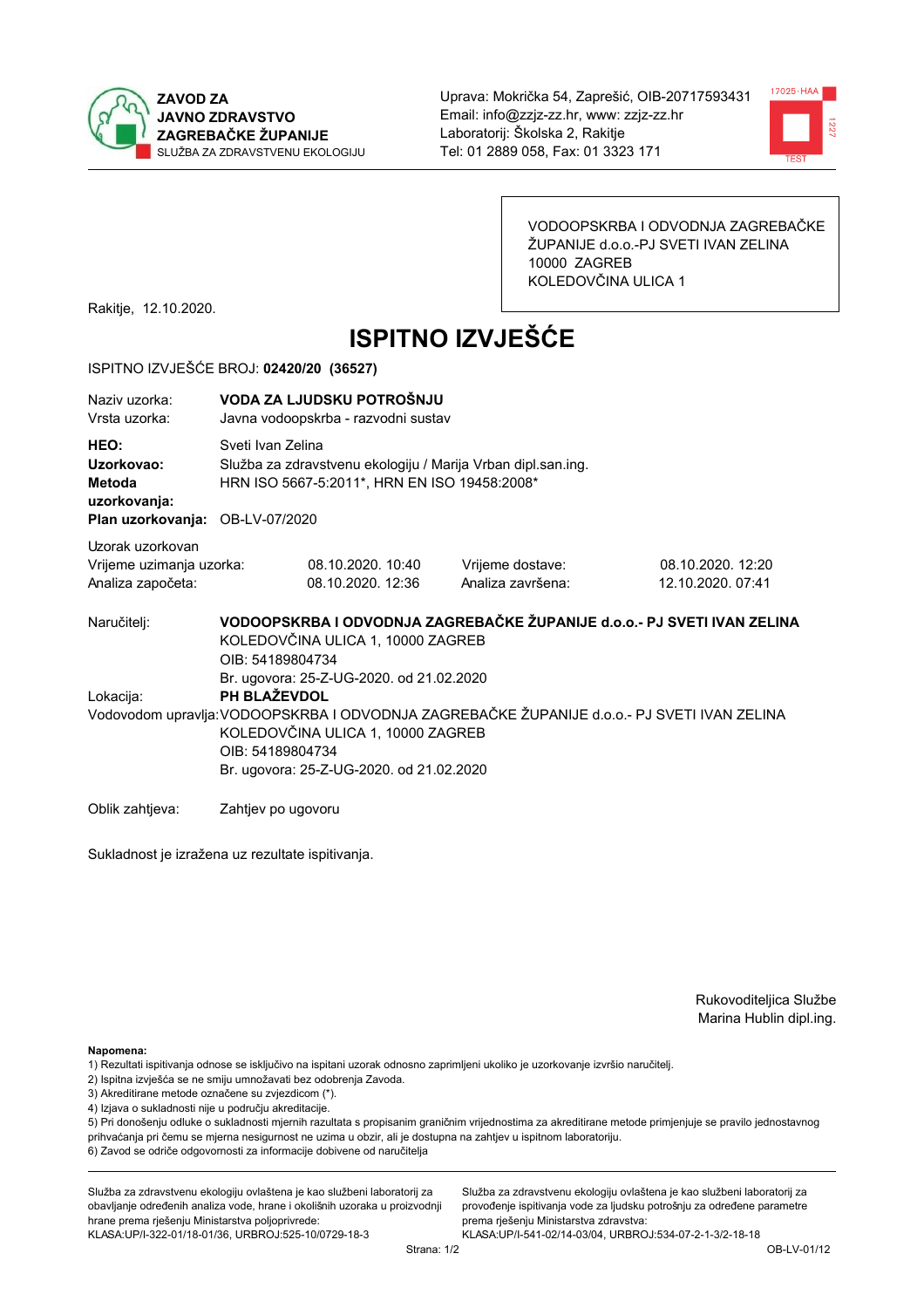



VODOOPSKRBA I ODVODNJA ZAGREBAČKE ŽUPANIJE d.o.o.-PJ SVETI IVAN ZELINA 10000 ZAGREB KOLEDOVČINA ULICA 1

Rakitje, 12.10.2020.

# **ISPITNO IZVJEŠĆE**

#### ISPITNO IZVJEŠĆE BROJ: 02420/20 (36527)

| Naziv uzorka:<br>Vrsta uzorka:                                                  | VODA ZA LJUDSKU POTROŠNJU<br>Javna vodoopskrba - razvodni sustav                                                                                                                                                                                             |                                                                                                                                   |                                                                         |                                        |  |  |
|---------------------------------------------------------------------------------|--------------------------------------------------------------------------------------------------------------------------------------------------------------------------------------------------------------------------------------------------------------|-----------------------------------------------------------------------------------------------------------------------------------|-------------------------------------------------------------------------|----------------------------------------|--|--|
| HEO:<br>Uzorkovao:<br>Metoda<br>uzorkovanja:<br>Plan uzorkovanja: OB-LV-07/2020 |                                                                                                                                                                                                                                                              | Sveti Ivan Zelina<br>Služba za zdravstvenu ekologiju / Marija Vrban dipl.san.ing.<br>HRN ISO 5667-5:2011*, HRN EN ISO 19458:2008* |                                                                         |                                        |  |  |
| Uzorak uzorkovan<br>Vrijeme uzimanja uzorka:<br>Analiza započeta:               |                                                                                                                                                                                                                                                              | 08.10.2020. 10:40<br>08.10.2020. 12:36                                                                                            | Vrijeme dostave:<br>Analiza završena:                                   | 08.10.2020. 12:20<br>12.10.2020. 07:41 |  |  |
| Naručitelj:                                                                     | OIB: 54189804734                                                                                                                                                                                                                                             | KOLEDOVČINA ULICA 1, 10000 ZAGREB                                                                                                 | VODOOPSKRBA I ODVODNJA ZAGREBAČKE ŽUPANIJE d.o.o.- PJ SVETI IVAN ZELINA |                                        |  |  |
| Lokacija:                                                                       | Br. ugovora: 25-Z-UG-2020. od 21.02.2020<br>PH BLAŽEVDOL<br>Vodovodom upravlja: VODOOPSKRBA I ODVODNJA ZAGREBAČKE ŽUPANIJE d.o.o.- PJ SVETI IVAN ZELINA<br>KOLEDOVČINA ULICA 1, 10000 ZAGREB<br>OIB: 54189804734<br>Br. ugovora: 25-Z-UG-2020. od 21.02.2020 |                                                                                                                                   |                                                                         |                                        |  |  |
| Oblik zahtjeva:                                                                 | Zahtjev po ugovoru                                                                                                                                                                                                                                           |                                                                                                                                   |                                                                         |                                        |  |  |

Sukladnost je izražena uz rezultate ispitivanja.

Rukovoditeljica Službe Marina Hublin dipl.ing.

Napomena:

- 1) Rezultati ispitivanja odnose se isključivo na ispitani uzorak odnosno zaprimljeni ukoliko je uzorkovanje izvršio naručiteli.
- 2) Ispitna izvješća se ne smiju umnožavati bez odobrenja Zavoda.
- 3) Akreditirane metode označene su zvjezdicom (\*).
- 4) Izjava o sukladnosti nije u području akreditacije.

5) Pri donošenju odluke o sukladnosti mjernih razultata s propisanim graničnim vrijednostima za akreditirane metode primjenjuje se pravilo jednostavnog prihvaćanja pri čemu se mjerna nesigurnost ne uzima u obzir, ali je dostupna na zahtjev u ispitnom laboratoriju.

6) Zavod se odriče odgovornosti za informacije dobivene od naručitelja

Služba za zdravstvenu ekologiju ovlaštena je kao službeni laboratorij za obavljanje određenih analiza vode, hrane i okolišnih uzoraka u proizvodnji hrane prema rješenju Ministarstva poljoprivrede:

provođenje ispitivanja vode za ljudsku potrošnju za određene parametre prema riešenju Ministarstva zdravstva: KLASA:UP/I-541-02/14-03/04, URBROJ:534-07-2-1-3/2-18-18

Služba za zdravstvenu ekologiju ovlaštena je kao službeni laboratorij za

KLASA: UP/I-322-01/18-01/36, URBROJ: 525-10/0729-18-3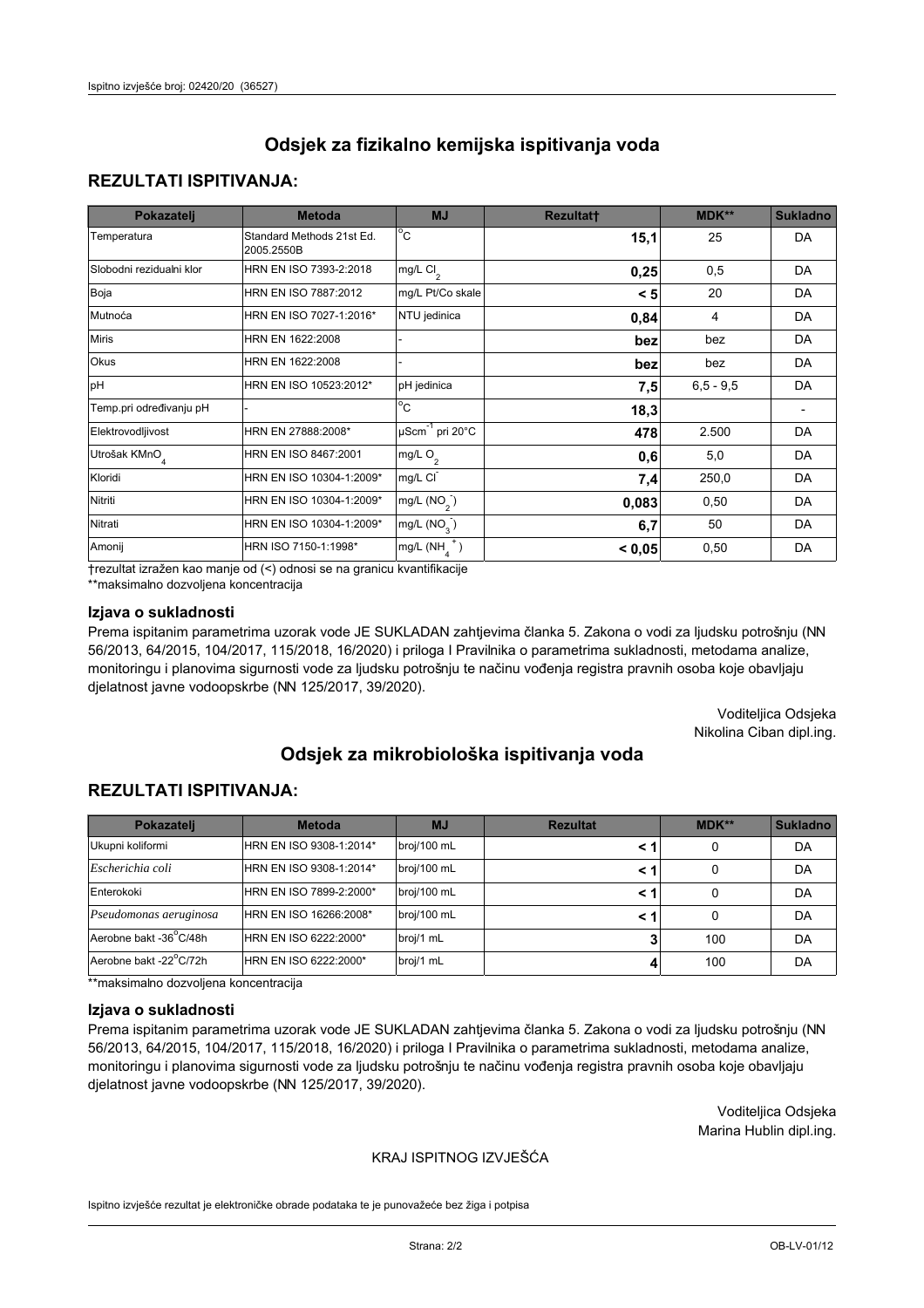## **REZULTATI ISPITIVANJA:**

| Pokazatelj                | <b>Metoda</b>                           | <b>MJ</b>                   | <b>Rezultatt</b> | <b>MDK**</b> | <b>Sukladno</b> |
|---------------------------|-----------------------------------------|-----------------------------|------------------|--------------|-----------------|
| Temperatura               | Standard Methods 21st Ed.<br>2005.2550B | $^{\circ}$ C                | 15,1             | 25           | <b>DA</b>       |
| Slobodni rezidualni klor  | HRN EN ISO 7393-2:2018                  | mg/L $Cl_2$                 | 0,25             | 0,5          | DA              |
| Boja                      | HRN EN ISO 7887:2012                    | mg/L Pt/Co skale            | < 5              | 20           | <b>DA</b>       |
| Mutnoća                   | HRN EN ISO 7027-1:2016*                 | NTU jedinica                | 0,84             | 4            | DA              |
| <b>Miris</b>              | HRN EN 1622:2008                        |                             | bez              | bez          | DA              |
| Okus                      | HRN EN 1622:2008                        |                             | bez              | bez          | DA              |
| pH                        | HRN EN ISO 10523:2012*                  | pH jedinica                 | 7,5              | $6.5 - 9.5$  | <b>DA</b>       |
| Temp.pri određivanju pH   |                                         | $\overline{c}$              | 18,3             |              |                 |
| Elektrovodljivost         | HRN EN 27888:2008*                      | µScm <sup>-1</sup> pri 20°C | 478              | 2.500        | DA              |
| Utrošak KMnO <sub>4</sub> | HRN EN ISO 8467:2001                    | mg/L O <sub>2</sub>         | 0,6              | 5,0          | DA              |
| Kloridi                   | HRN EN ISO 10304-1:2009*                | mg/L CI                     | 7,4              | 250,0        | DA              |
| Nitriti                   | HRN EN ISO 10304-1:2009*                | mg/L $(NO2)$                | 0,083            | 0,50         | DA              |
| Nitrati                   | HRN EN ISO 10304-1:2009*                | mg/L (NO <sub>3</sub> )     | 6,7              | 50           | DA              |
| Amonij                    | HRN ISO 7150-1:1998*                    | mg/L $(NH_A^+)$             | < 0,05           | 0,50         | DA              |

trezultat izražen kao manje od (<) odnosi se na granicu kvantifikacije

\*\*maksimalno dozvoljena koncentracija

#### Izjava o sukladnosti

Prema ispitanim parametrima uzorak vode JE SUKLADAN zahtjevima članka 5. Zakona o vodi za ljudsku potrošnju (NN 56/2013, 64/2015, 104/2017, 115/2018, 16/2020) i priloga I Pravilnika o parametrima sukladnosti, metodama analize, monitoringu i planovima sigurnosti vode za ljudsku potrošnju te načinu vođenja registra pravnih osoba koje obavljaju djelatnost javne vodoopskrbe (NN 125/2017, 39/2020).

> Voditeljica Odsjeka Nikolina Ciban dipl.ing.

# Odsiek za mikrobiološka ispitivanja voda

## **REZULTATI ISPITIVANJA:**

| Pokazatelj             | <b>Metoda</b>           | <b>Rezultat</b><br><b>MJ</b> |     | $MDK**$ | <b>Sukladno</b> |
|------------------------|-------------------------|------------------------------|-----|---------|-----------------|
| Ukupni koliformi       | HRN EN ISO 9308-1:2014* | broj/100 mL                  | < 1 | 0       | DA              |
| Escherichia coli       | HRN EN ISO 9308-1:2014* | broj/100 mL                  | < 1 | 0       | DA              |
| Enterokoki             | HRN EN ISO 7899-2:2000* | broj/100 mL                  | < 1 |         | DA              |
| Pseudomonas aeruginosa | HRN EN ISO 16266:2008*  | broj/100 mL                  | < 1 | 0       | DA              |
| Aerobne bakt -36°C/48h | HRN EN ISO 6222:2000*   | broj/1 mL                    |     | 100     | DA              |
| Aerobne bakt -22°C/72h | HRN EN ISO 6222:2000*   | broj/1 mL                    |     | 100     | DA              |

\*\*maksimalno dozvoljena koncentracija

#### Izjava o sukladnosti

Prema ispitanim parametrima uzorak vode JE SUKLADAN zahtievima članka 5. Zakona o vodi za ljudsku potrošnju (NN 56/2013, 64/2015, 104/2017, 115/2018, 16/2020) i priloga I Pravilnika o parametrima sukladnosti, metodama analize, monitoringu i planovima sigurnosti vode za ljudsku potrošnju te načinu vođenja registra pravnih osoba koje obavljaju djelatnost javne vodoopskrbe (NN 125/2017, 39/2020).

> Voditeljica Odsjeka Marina Hublin dipl.ing.

#### KRAJ ISPITNOG IZVJEŠĆA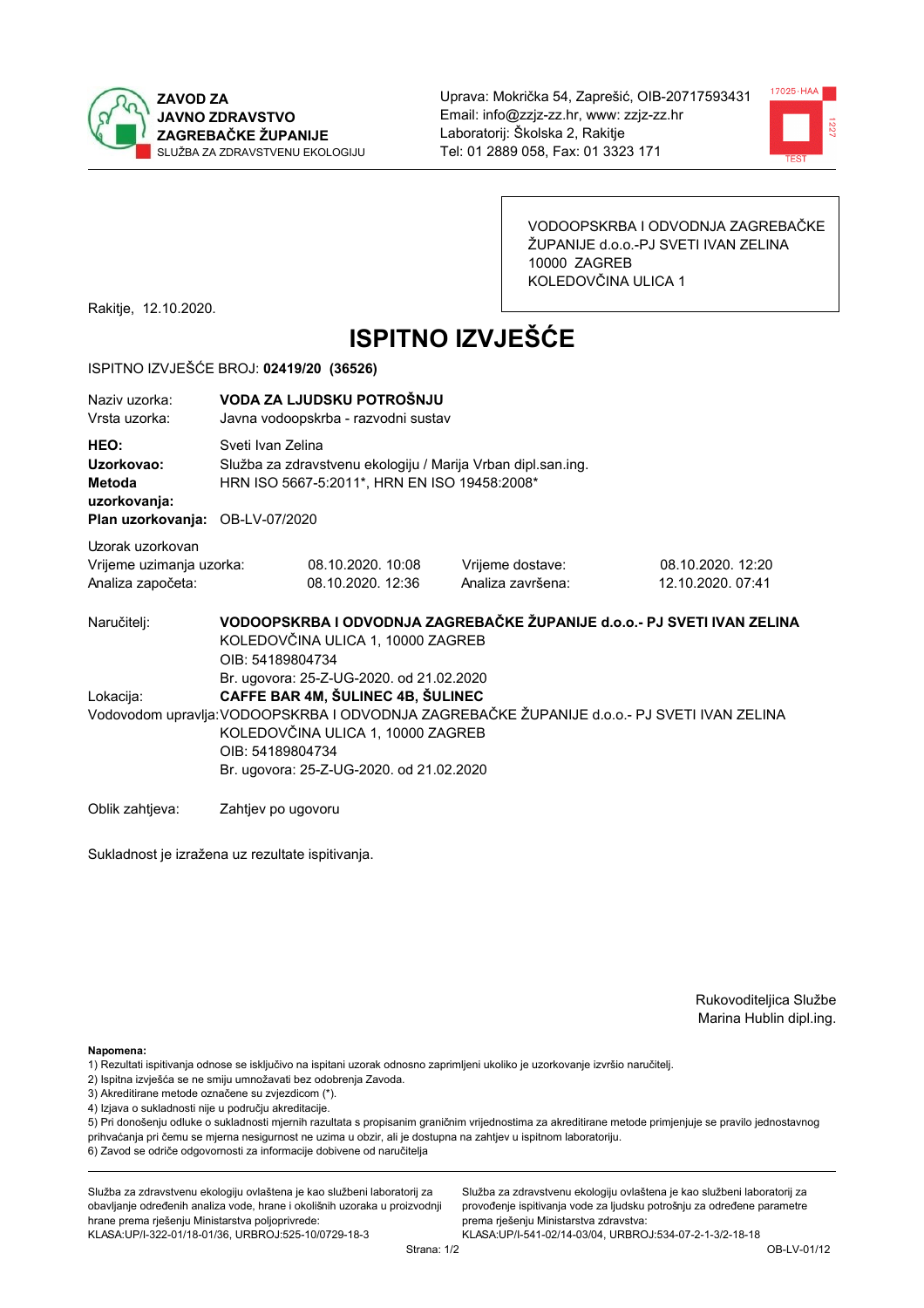



VODOOPSKRBA I ODVODNJA ZAGREBAČKE ŽUPANIJE d.o.o.-PJ SVETI IVAN ZELINA 10000 ZAGREB KOLEDOVČINA ULICA 1

Rakitje, 12.10.2020.

# **ISPITNO IZVJEŠĆE**

#### ISPITNO IZVJEŠĆE BROJ: 02419/20 (36526)

| Naziv uzorka:<br>Vrsta uzorka:                                                  |                                                                                                                                                                                                                                                                                   | VODA ZA LJUDSKU POTROŠNJU<br>Javna vodoopskrba - razvodni sustav                                                                  |                                                                         |                                        |  |  |
|---------------------------------------------------------------------------------|-----------------------------------------------------------------------------------------------------------------------------------------------------------------------------------------------------------------------------------------------------------------------------------|-----------------------------------------------------------------------------------------------------------------------------------|-------------------------------------------------------------------------|----------------------------------------|--|--|
| HEO:<br>Uzorkovao:<br>Metoda<br>uzorkovanja:<br>Plan uzorkovanja: OB-LV-07/2020 |                                                                                                                                                                                                                                                                                   | Sveti Ivan Zelina<br>Služba za zdravstvenu ekologiju / Marija Vrban dipl.san.ing.<br>HRN ISO 5667-5:2011*, HRN EN ISO 19458:2008* |                                                                         |                                        |  |  |
| Uzorak uzorkovan<br>Vrijeme uzimanja uzorka:<br>Analiza započeta:               |                                                                                                                                                                                                                                                                                   | 08.10.2020. 10:08<br>08.10.2020. 12:36                                                                                            | Vrijeme dostave:<br>Analiza završena:                                   | 08.10.2020. 12:20<br>12.10.2020. 07:41 |  |  |
| Naručitelj:                                                                     | OIB: 54189804734                                                                                                                                                                                                                                                                  | KOLEDOVČINA ULICA 1, 10000 ZAGREB                                                                                                 | VODOOPSKRBA I ODVODNJA ZAGREBAČKE ŽUPANIJE d.o.o.- PJ SVETI IVAN ZELINA |                                        |  |  |
| Lokacija:                                                                       | Br. ugovora: 25-Z-UG-2020. od 21.02.2020<br>CAFFE BAR 4M, ŠULINEC 4B, ŠULINEC<br>Vodovodom upravlja: VODOOPSKRBA I ODVODNJA ZAGREBAČKE ŽUPANIJE d.o.o.- PJ SVETI IVAN ZELINA<br>KOLEDOVČINA ULICA 1, 10000 ZAGREB<br>OIB: 54189804734<br>Br. ugovora: 25-Z-UG-2020. od 21.02.2020 |                                                                                                                                   |                                                                         |                                        |  |  |
| Oblik zahtieva:                                                                 | Zahtjev po ugovoru                                                                                                                                                                                                                                                                |                                                                                                                                   |                                                                         |                                        |  |  |

Sukladnost je izražena uz rezultate ispitivanja.

Rukovoditeljica Službe Marina Hublin dipl.ing.

Napomena:

- 2) Ispitna izvješća se ne smiju umnožavati bez odobrenja Zavoda.
- 3) Akreditirane metode označene su zvjezdicom (\*).
- 4) Izjava o sukladnosti nije u području akreditacije.

5) Pri donošenju odluke o sukladnosti mjernih razultata s propisanim graničnim vrijednostima za akreditirane metode primjenjuje se pravilo jednostavnog prihvaćanja pri čemu se mjerna nesigurnost ne uzima u obzir, ali je dostupna na zahtjev u ispitnom laboratoriju.

6) Zavod se odriče odgovornosti za informacije dobivene od naručitelja

Služba za zdravstvenu ekologiju ovlaštena je kao službeni laboratorij za obavljanje određenih analiza vode, hrane i okolišnih uzoraka u proizvodnji hrane prema rješenju Ministarstva poljoprivrede:

KLASA:UP/I-322-01/18-01/36, URBROJ:525-10/0729-18-3

Služba za zdravstvenu ekologiju ovlaštena je kao službeni laboratorij za provođenje ispitivanja vode za ljudsku potrošnju za određene parametre prema riešenju Ministarstva zdravstva:

<sup>1)</sup> Rezultati ispitivanja odnose se isključivo na ispitani uzorak odnosno zaprimljeni ukoliko je uzorkovanje izvršio naručitelj.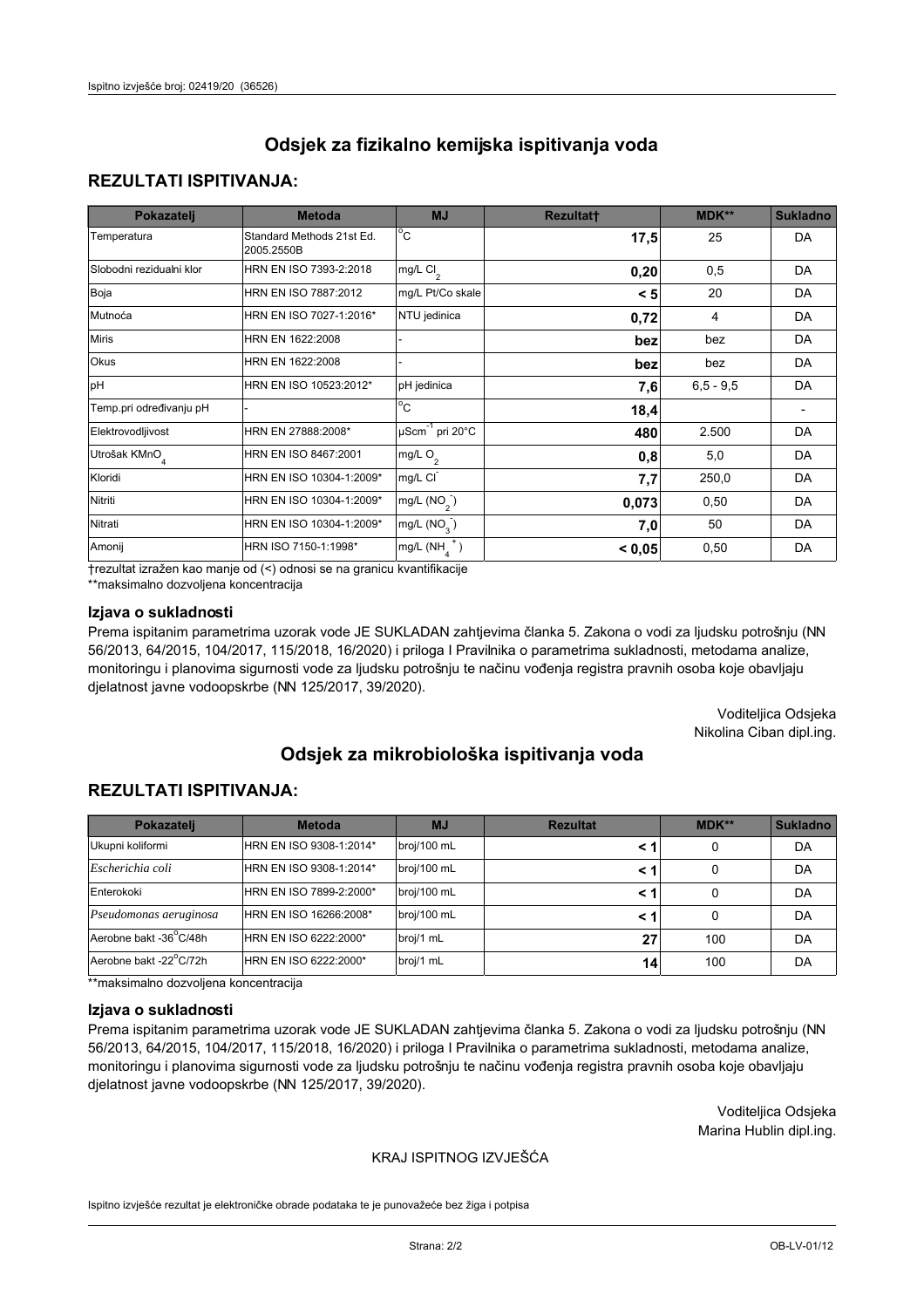### **REZULTATI ISPITIVANJA:**

| Pokazatelj                | <b>Metoda</b>                           | <b>MJ</b>                        | <b>Rezultatt</b> | <b>MDK**</b> | <b>Sukladno</b> |
|---------------------------|-----------------------------------------|----------------------------------|------------------|--------------|-----------------|
| Temperatura               | Standard Methods 21st Ed.<br>2005.2550B | $\overline{C}$                   | 17,5             | 25           | DA              |
| Slobodni rezidualni klor  | HRN EN ISO 7393-2:2018                  | $mg/L$ Cl <sub>2</sub>           | 0,20             | 0,5          | DA              |
| Boja                      | HRN EN ISO 7887:2012                    | mg/L Pt/Co skale                 | < 5              | 20           | DA              |
| Mutnoća                   | HRN EN ISO 7027-1:2016*                 | NTU jedinica                     | 0,72             | 4            | DA              |
| <b>Miris</b>              | HRN EN 1622:2008                        |                                  | bez              | bez          | DA              |
| Okus                      | HRN EN 1622:2008                        |                                  | bez              | bez          | DA              |
| pH                        | HRN EN ISO 10523:2012*                  | pH jedinica                      | 7,6              | $6.5 - 9.5$  | DA              |
| Temp.pri određivanju pH   |                                         | $\overline{c}$                   | 18,4             |              |                 |
| Elektrovodljivost         | HRN EN 27888:2008*                      | $\mu$ Scm <sup>-1</sup> pri 20°C | 480              | 2.500        | DA              |
| Utrošak KMnO <sub>4</sub> | HRN EN ISO 8467:2001                    | mg/L $O_2$                       | 0,8              | 5,0          | DA              |
| Kloridi                   | HRN EN ISO 10304-1:2009*                | mg/L CI                          | 7,7              | 250,0        | DA              |
| Nitriti                   | HRN EN ISO 10304-1:2009*                | mg/L $(NO2)$                     | 0,073            | 0,50         | DA              |
| Nitrati                   | HRN EN ISO 10304-1:2009*                | mg/L $(NO3)$                     | 7,0              | 50           | DA              |
| Amonij                    | HRN ISO 7150-1:1998*                    | mg/L $(NH_{\lambda}^{\dagger})$  | < 0,05           | 0,50         | DA              |

trezultat izražen kao manje od (<) odnosi se na granicu kvantifikacije

\*\*maksimalno dozvoljena koncentracija

#### Izjava o sukladnosti

Prema ispitanim parametrima uzorak vode JE SUKLADAN zahtjevima članka 5. Zakona o vodi za ljudsku potrošnju (NN 56/2013, 64/2015, 104/2017, 115/2018, 16/2020) i priloga I Pravilnika o parametrima sukladnosti, metodama analize, monitoringu i planovima sigurnosti vode za ljudsku potrošnju te načinu vođenja registra pravnih osoba koje obavljaju djelatnost javne vodoopskrbe (NN 125/2017, 39/2020).

> Voditeljica Odsjeka Nikolina Ciban dipl.ing.

# Odsiek za mikrobiološka ispitivanja voda

### **REZULTATI ISPITIVANJA:**

| Pokazatelj             | <b>Metoda</b>           | <b>Rezultat</b><br><b>MJ</b> |     | MDK** | <b>Sukladno</b> |
|------------------------|-------------------------|------------------------------|-----|-------|-----------------|
| Ukupni koliformi       | HRN EN ISO 9308-1:2014* | broj/100 mL                  |     | 0     | DA              |
| Escherichia coli       | HRN EN ISO 9308-1:2014* | broj/100 mL                  | < 1 | 0     | DA              |
| Enterokoki             | HRN EN ISO 7899-2:2000* | broj/100 mL                  | < 1 | 0     | DA              |
| Pseudomonas aeruginosa | HRN EN ISO 16266:2008*  | broj/100 mL                  | < 1 | 0     | DA              |
| Aerobne bakt -36°C/48h | HRN EN ISO 6222:2000*   | broj/1 mL                    | 27  | 100   | DA              |
| Aerobne bakt -22°C/72h | HRN EN ISO 6222:2000*   | broj/1 mL                    | 14  | 100   | DA              |

\*\*maksimalno dozvoljena koncentracija

#### Izjava o sukladnosti

Prema ispitanim parametrima uzorak vode JE SUKLADAN zahtievima članka 5. Zakona o vodi za ljudsku potrošnju (NN 56/2013, 64/2015, 104/2017, 115/2018, 16/2020) i priloga I Pravilnika o parametrima sukladnosti, metodama analize, monitoringu i planovima sigurnosti vode za ljudsku potrošnju te načinu vođenja registra pravnih osoba koje obavljaju djelatnost javne vodoopskrbe (NN 125/2017, 39/2020).

> Voditeljica Odsjeka Marina Hublin dipl.ing.

#### KRAJ ISPITNOG IZVJEŠĆA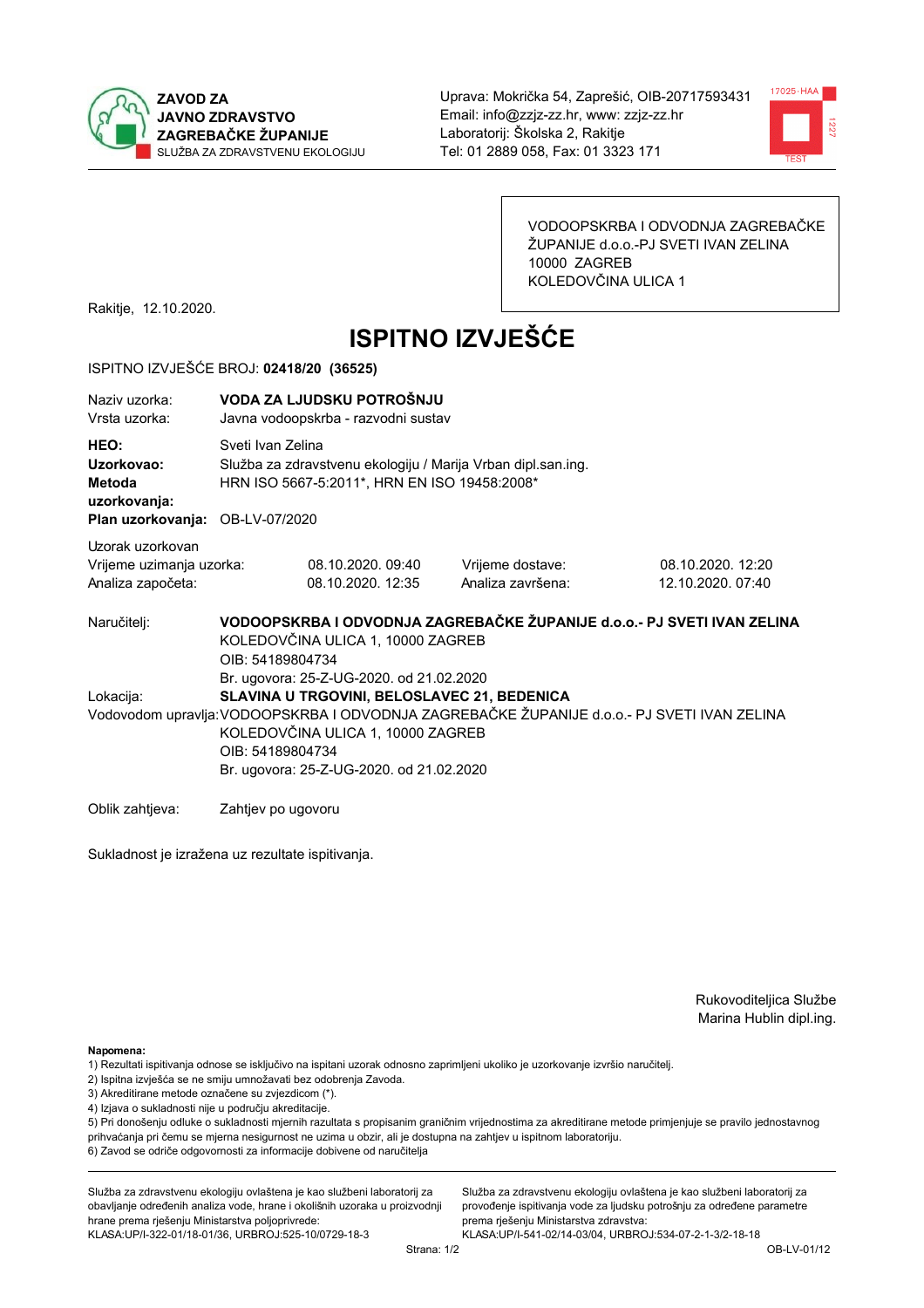



VODOOPSKRBA I ODVODNJA ZAGREBAČKE ŽUPANIJE d.o.o.-PJ SVETI IVAN ZELINA 10000 ZAGREB KOLEDOVČINA ULICA 1

Rakitje, 12.10.2020.

# **ISPITNO IZVJEŠĆE**

#### ISPITNO IZVJEŠĆE BROJ: 02418/20 (36525)

| Naziv uzorka:<br>Vrsta uzorka:                                                  |                                                                                                                                                                                                                                                                                             | VODA ZA LJUDSKU POTROŠNJU<br>Javna vodoopskrba - razvodni sustav                                                                  |                                                                         |                                        |  |  |
|---------------------------------------------------------------------------------|---------------------------------------------------------------------------------------------------------------------------------------------------------------------------------------------------------------------------------------------------------------------------------------------|-----------------------------------------------------------------------------------------------------------------------------------|-------------------------------------------------------------------------|----------------------------------------|--|--|
| HEO:<br>Uzorkovao:<br>Metoda<br>uzorkovanja:<br>Plan uzorkovanja: OB-LV-07/2020 |                                                                                                                                                                                                                                                                                             | Sveti Ivan Zelina<br>Služba za zdravstvenu ekologiju / Marija Vrban dipl.san.ing.<br>HRN ISO 5667-5:2011*, HRN EN ISO 19458:2008* |                                                                         |                                        |  |  |
| Uzorak uzorkovan<br>Vrijeme uzimanja uzorka:<br>Analiza započeta:               |                                                                                                                                                                                                                                                                                             | 08.10.2020, 09:40<br>08.10.2020. 12:35                                                                                            | Vrijeme dostave:<br>Analiza završena:                                   | 08.10.2020. 12:20<br>12.10.2020. 07:40 |  |  |
| Naručitelj:                                                                     | OIB: 54189804734                                                                                                                                                                                                                                                                            | KOLEDOVČINA ULICA 1, 10000 ZAGREB                                                                                                 | VODOOPSKRBA I ODVODNJA ZAGREBAČKE ŽUPANIJE d.o.o.- PJ SVETI IVAN ZELINA |                                        |  |  |
| Lokacija:                                                                       | Br. ugovora: 25-Z-UG-2020. od 21.02.2020<br>SLAVINA U TRGOVINI, BELOSLAVEC 21, BEDENICA<br>Vodovodom upravlja: VODOOPSKRBA I ODVODNJA ZAGREBAČKE ŽUPANIJE d.o.o.- PJ SVETI IVAN ZELINA<br>KOLEDOVČINA ULICA 1, 10000 ZAGREB<br>OIB: 54189804734<br>Br. ugovora: 25-Z-UG-2020. od 21.02.2020 |                                                                                                                                   |                                                                         |                                        |  |  |
| Oblik zahtjeva:                                                                 | Zahtjev po ugovoru                                                                                                                                                                                                                                                                          |                                                                                                                                   |                                                                         |                                        |  |  |

Sukladnost je izražena uz rezultate ispitivanja.

Rukovoditeljica Službe Marina Hublin dipl.ing.

Napomena:

- 1) Rezultati ispitivanja odnose se isključivo na ispitani uzorak odnosno zaprimljeni ukoliko je uzorkovanje izvršio naručiteli.
- 2) Ispitna izvješća se ne smiju umnožavati bez odobrenja Zavoda.
- 3) Akreditirane metode označene su zvjezdicom (\*).
- 4) Izjava o sukladnosti nije u području akreditacije.

5) Pri donošenju odluke o sukladnosti mjernih razultata s propisanim graničnim vrijednostima za akreditirane metode primjenjuje se pravilo jednostavnog prihvaćanja pri čemu se mjerna nesigurnost ne uzima u obzir, ali je dostupna na zahtjev u ispitnom laboratoriju.

6) Zavod se odriče odgovornosti za informacije dobivene od naručitelja

Služba za zdravstvenu ekologiju ovlaštena je kao službeni laboratorij za obavljanje određenih analiza vode, hrane i okolišnih uzoraka u proizvodnji hrane prema rješenju Ministarstva poljoprivrede:

KLASA: UP/I-322-01/18-01/36, URBROJ: 525-10/0729-18-3

Služba za zdravstvenu ekologiju ovlaštena je kao službeni laboratorij za provođenje ispitivanja vode za ljudsku potrošnju za određene parametre prema riešenju Ministarstva zdravstva: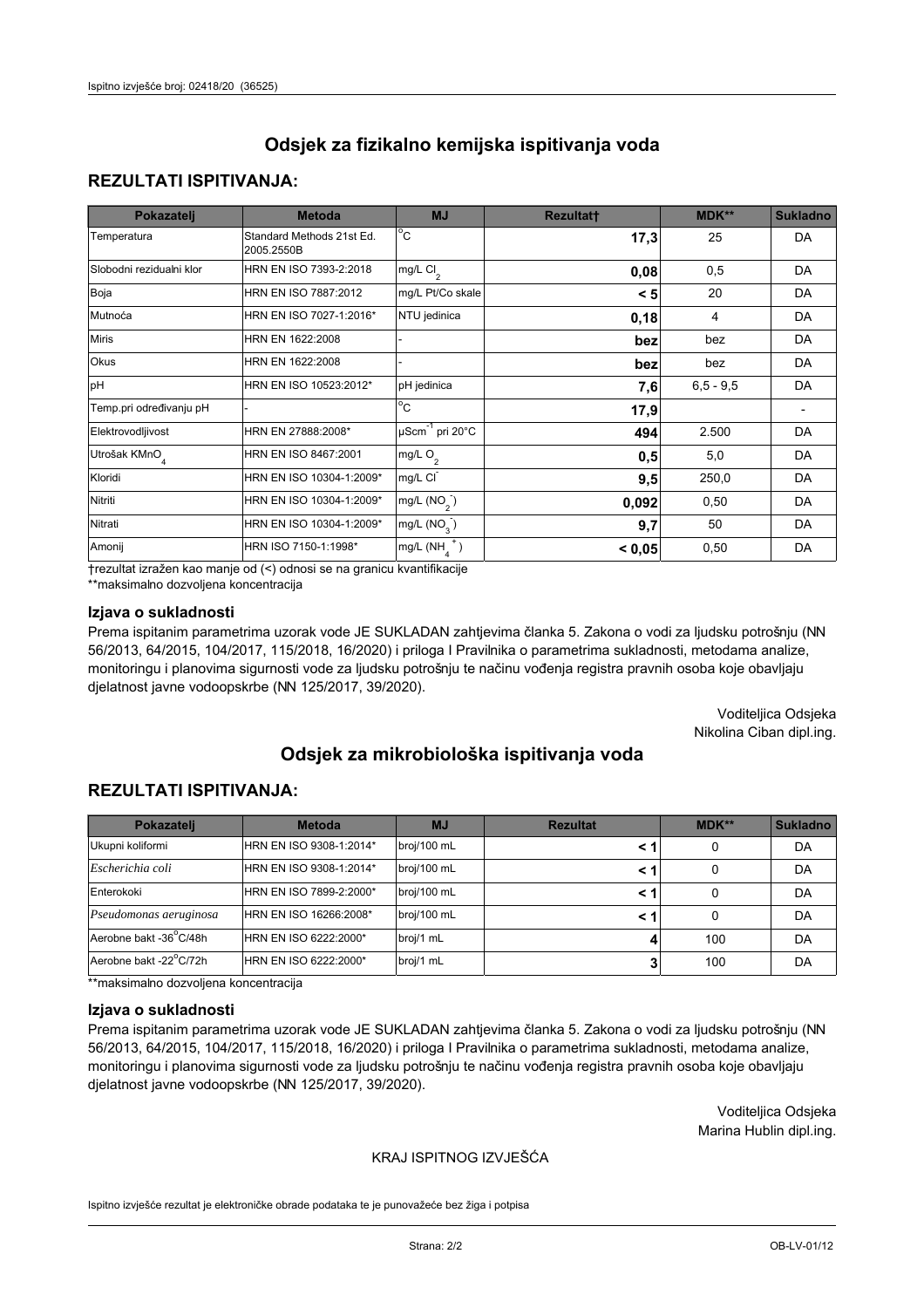## **REZULTATI ISPITIVANJA:**

| Pokazatelj                | <b>Metoda</b>                           | <b>MJ</b>                   | <b>Rezultatt</b> | <b>MDK**</b> | <b>Sukladno</b> |
|---------------------------|-----------------------------------------|-----------------------------|------------------|--------------|-----------------|
| Temperatura               | Standard Methods 21st Ed.<br>2005.2550B | $^{\circ}$ C                | 17,3             | 25           | <b>DA</b>       |
| Slobodni rezidualni klor  | HRN EN ISO 7393-2:2018                  | mg/L $Cl_2$                 | 0,08             | 0,5          | DA              |
| Boja                      | HRN EN ISO 7887:2012                    | mg/L Pt/Co skale            | < 5              | 20           | <b>DA</b>       |
| Mutnoća                   | HRN EN ISO 7027-1:2016*                 | NTU jedinica                | 0,18             | 4            | DA              |
| <b>Miris</b>              | HRN EN 1622:2008                        |                             | bez              | bez          | DA              |
| Okus                      | HRN EN 1622:2008                        |                             | bez              | bez          | DA              |
| pH                        | HRN EN ISO 10523:2012*                  | pH jedinica                 | 7,6              | $6.5 - 9.5$  | <b>DA</b>       |
| Temp.pri određivanju pH   |                                         | $\overline{c}$              | 17,9             |              |                 |
| Elektrovodljivost         | HRN EN 27888:2008*                      | µScm <sup>-1</sup> pri 20°C | 494              | 2.500        | DA              |
| Utrošak KMnO <sub>4</sub> | HRN EN ISO 8467:2001                    | mg/L O <sub>2</sub>         | 0,5              | 5,0          | DA              |
| Kloridi                   | HRN EN ISO 10304-1:2009*                | mg/L CI                     | 9,5              | 250,0        | DA              |
| Nitriti                   | HRN EN ISO 10304-1:2009*                | mg/L $(NO2)$                | 0,092            | 0,50         | DA              |
| Nitrati                   | HRN EN ISO 10304-1:2009*                | mg/L (NO <sub>3</sub> )     | 9,7              | 50           | DA              |
| Amonij                    | HRN ISO 7150-1:1998*                    | mg/L $(NH_A^+)$             | < 0,05           | 0,50         | DA              |

trezultat izražen kao manje od (<) odnosi se na granicu kvantifikacije

\*\*maksimalno dozvoljena koncentracija

#### Izjava o sukladnosti

Prema ispitanim parametrima uzorak vode JE SUKLADAN zahtjevima članka 5. Zakona o vodi za ljudsku potrošnju (NN 56/2013, 64/2015, 104/2017, 115/2018, 16/2020) i priloga I Pravilnika o parametrima sukladnosti, metodama analize, monitoringu i planovima sigurnosti vode za ljudsku potrošnju te načinu vođenja registra pravnih osoba koje obavljaju djelatnost javne vodoopskrbe (NN 125/2017, 39/2020).

> Voditeljica Odsjeka Nikolina Ciban dipl.ing.

# Odsiek za mikrobiološka ispitivanja voda

## **REZULTATI ISPITIVANJA:**

| Pokazatelj             | <b>Metoda</b>           | <b>MJ</b>   | <b>Rezultat</b> | MDK** | <b>Sukladno</b> |
|------------------------|-------------------------|-------------|-----------------|-------|-----------------|
| Ukupni koliformi       | HRN EN ISO 9308-1:2014* | broj/100 mL |                 | 0     | DA              |
| Escherichia coli       | HRN EN ISO 9308-1:2014* | broj/100 mL | < 1             | 0     | DA              |
| Enterokoki             | HRN EN ISO 7899-2:2000* | broj/100 mL | < 1             | 0     | DA              |
| Pseudomonas aeruginosa | HRN EN ISO 16266:2008*  | broj/100 mL | < 1             | 0     | DA              |
| Aerobne bakt -36°C/48h | HRN EN ISO 6222:2000*   | broj/1 mL   |                 | 100   | DA              |
| Aerobne bakt -22°C/72h | HRN EN ISO 6222:2000*   | broj/1 mL   |                 | 100   | DA              |

\*\*maksimalno dozvoljena koncentracija

#### Izjava o sukladnosti

Prema ispitanim parametrima uzorak vode JE SUKLADAN zahtievima članka 5. Zakona o vodi za ljudsku potrošnju (NN 56/2013, 64/2015, 104/2017, 115/2018, 16/2020) i priloga I Pravilnika o parametrima sukladnosti, metodama analize, monitoringu i planovima sigurnosti vode za ljudsku potrošnju te načinu vođenja registra pravnih osoba koje obavljaju djelatnost javne vodoopskrbe (NN 125/2017, 39/2020).

> Voditeljica Odsjeka Marina Hublin dipl.ing.

#### KRAJ ISPITNOG IZVJEŠĆA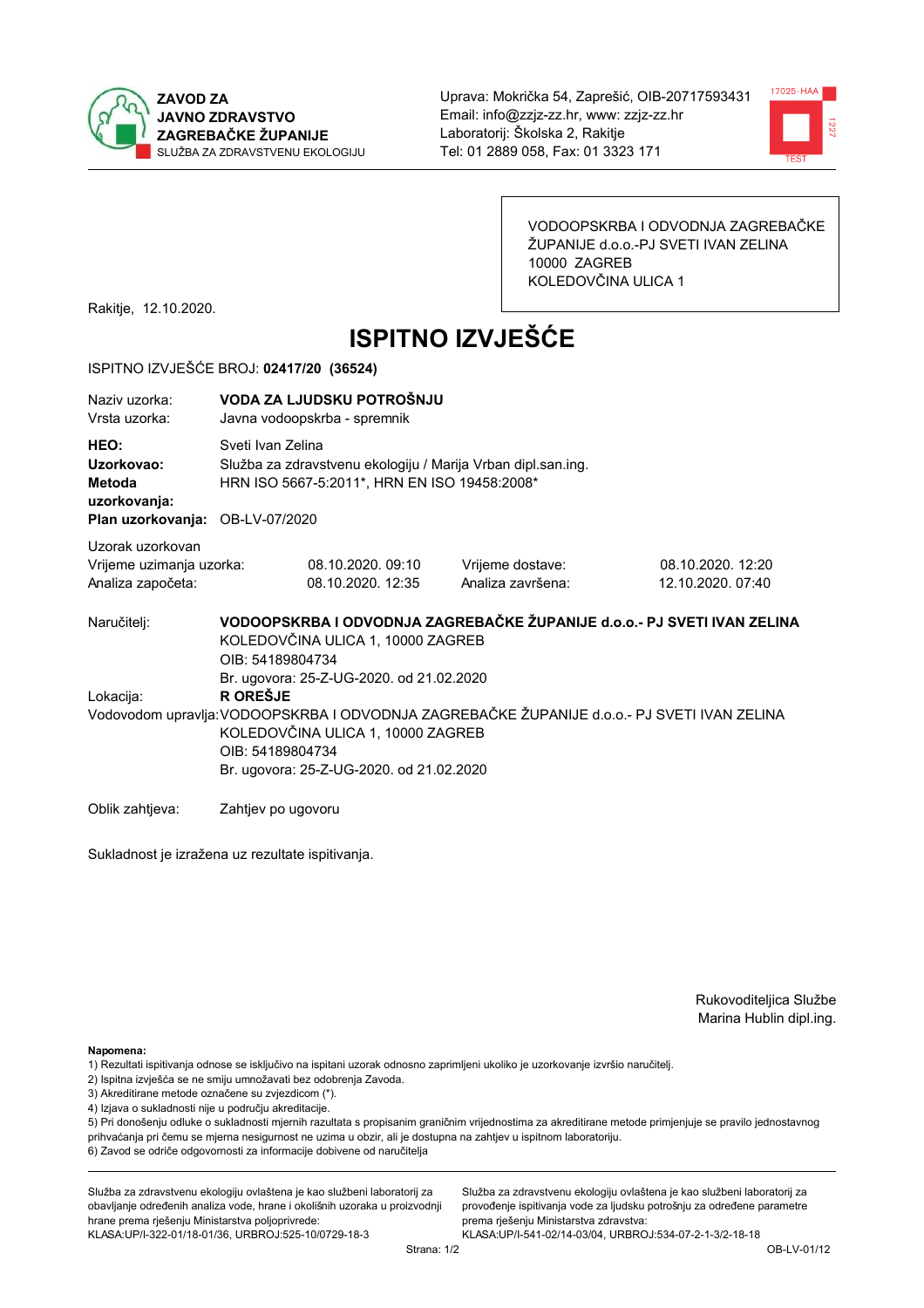



VODOOPSKRBA I ODVODNJA ZAGREBAČKE ŽUPANIJE d.o.o.-PJ SVETI IVAN ZELINA 10000 ZAGREB KOLEDOVČINA ULICA 1

Rakitje, 12.10.2020.

# **ISPITNO IZVJEŠĆE**

#### ISPITNO IZVJEŠĆE BROJ: 02417/20 (36524)

| Naziy uzorka:<br>Vrsta uzorka:                                                  |                                                                                                                                                                                                                                                                 | VODA ZA LJUDSKU POTROŠNJU<br>Javna vodoopskrba - spremnik                                                                         |                                                                         |                                        |  |  |
|---------------------------------------------------------------------------------|-----------------------------------------------------------------------------------------------------------------------------------------------------------------------------------------------------------------------------------------------------------------|-----------------------------------------------------------------------------------------------------------------------------------|-------------------------------------------------------------------------|----------------------------------------|--|--|
| HEO:<br>Uzorkovao:<br>Metoda<br>uzorkovanja:<br>Plan uzorkovanja: OB-LV-07/2020 |                                                                                                                                                                                                                                                                 | Sveti Ivan Zelina<br>Služba za zdravstvenu ekologiju / Marija Vrban dipl.san.ing.<br>HRN ISO 5667-5:2011*, HRN EN ISO 19458:2008* |                                                                         |                                        |  |  |
| Uzorak uzorkovan<br>Vrijeme uzimanja uzorka:<br>Analiza započeta:               |                                                                                                                                                                                                                                                                 | 08.10.2020.09:10<br>08.10.2020. 12:35                                                                                             | Vrijeme dostave:<br>Analiza završena:                                   | 08.10.2020. 12:20<br>12.10.2020. 07:40 |  |  |
| Naručitelj:                                                                     | OIB: 54189804734                                                                                                                                                                                                                                                | KOLEDOVČINA ULICA 1, 10000 ZAGREB                                                                                                 | VODOOPSKRBA I ODVODNJA ZAGREBAČKE ŽUPANIJE d.o.o.- PJ SVETI IVAN ZELINA |                                        |  |  |
| Lokacija:                                                                       | Br. ugovora: 25-Z-UG-2020. od 21.02.2020<br><b>R OREŠJE</b><br>Vodovodom upravlja: VODOOPSKRBA I ODVODNJA ZAGREBAČKE ŽUPANIJE d.o.o.- PJ SVETI IVAN ZELINA<br>KOLEDOVČINA ULICA 1, 10000 ZAGREB<br>OIB: 54189804734<br>Br. ugovora: 25-Z-UG-2020. od 21.02.2020 |                                                                                                                                   |                                                                         |                                        |  |  |
| Oblik zahtjeva:                                                                 | Zahtjev po ugovoru                                                                                                                                                                                                                                              |                                                                                                                                   |                                                                         |                                        |  |  |

Sukladnost je izražena uz rezultate ispitivanja.

Rukovoditeljica Službe Marina Hublin dipl.ing.

Napomena:

- 1) Rezultati ispitivanja odnose se isključivo na ispitani uzorak odnosno zaprimljeni ukoliko je uzorkovanje izvršio naručiteli.
- 2) Ispitna izvješća se ne smiju umnožavati bez odobrenja Zavoda.
- 3) Akreditirane metode označene su zvjezdicom (\*).
- 4) Izjava o sukladnosti nije u području akreditacije.

5) Pri donošenju odluke o sukladnosti mjernih razultata s propisanim graničnim vrijednostima za akreditirane metode primjenjuje se pravilo jednostavnog prihvaćanja pri čemu se mjerna nesigurnost ne uzima u obzir, ali je dostupna na zahtjev u ispitnom laboratoriju.

6) Zavod se odriče odgovornosti za informacije dobivene od naručitelja

Služba za zdravstvenu ekologiju ovlaštena je kao službeni laboratorij za obavljanje određenih analiza vode, hrane i okolišnih uzoraka u proizvodnji hrane prema rješenju Ministarstva poljoprivrede: KLASA: UP/I-322-01/18-01/36, URBROJ: 525-10/0729-18-3

Služba za zdravstvenu ekologiju ovlaštena je kao službeni laboratorij za provođenje ispitivanja vode za ljudsku potrošnju za određene parametre prema riešenju Ministarstva zdravstva: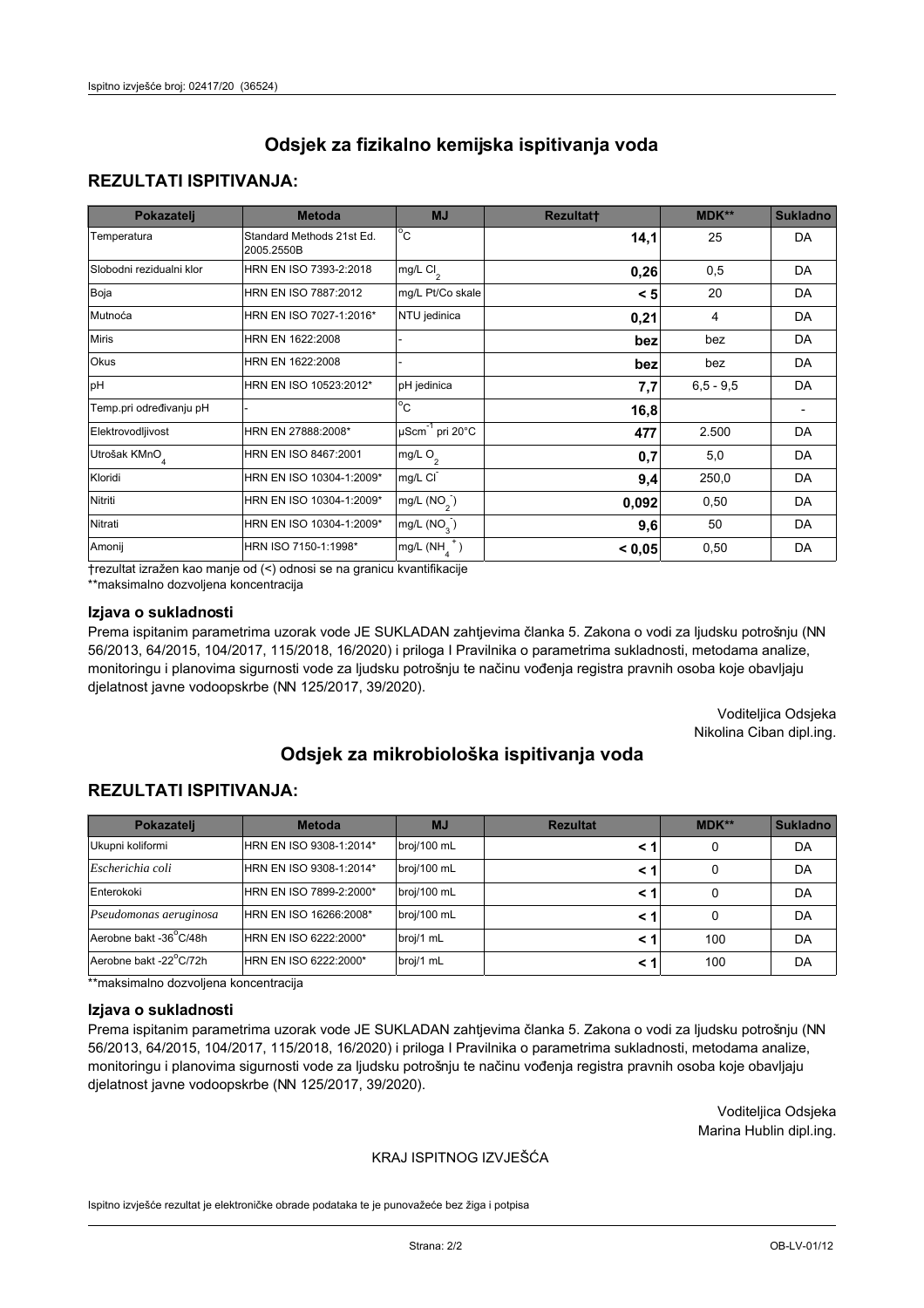### **REZULTATI ISPITIVANJA:**

| Pokazatelj                | <b>Metoda</b>                           | <b>MJ</b>                        | <b>Rezultatt</b> | <b>MDK**</b> | <b>Sukladno</b> |
|---------------------------|-----------------------------------------|----------------------------------|------------------|--------------|-----------------|
| Temperatura               | Standard Methods 21st Ed.<br>2005.2550B | $^{\circ}$ C                     | 14,1             | 25           | <b>DA</b>       |
| Slobodni rezidualni klor  | HRN EN ISO 7393-2:2018                  | mg/L $Cl_2$                      | 0,26             | 0,5          | <b>DA</b>       |
| Boja                      | HRN EN ISO 7887:2012                    | mg/L Pt/Co skale                 | < 5              | 20           | <b>DA</b>       |
| Mutnoća                   | HRN EN ISO 7027-1:2016*                 | NTU jedinica                     | 0,21             | 4            | DA              |
| <b>Miris</b>              | HRN EN 1622:2008                        |                                  | bez              | bez          | DA              |
| Okus                      | HRN EN 1622:2008                        |                                  | bez              | bez          | DA              |
| pH                        | HRN EN ISO 10523:2012*                  | pH jedinica                      | 7,7              | $6,5 - 9,5$  | <b>DA</b>       |
| Temp.pri određivanju pH   |                                         | $\overline{c}$                   | 16,8             |              |                 |
| Elektrovodljivost         | HRN EN 27888:2008*                      | $\mu$ Scm <sup>-1</sup> pri 20°C | 477              | 2.500        | DA              |
| Utrošak KMnO <sub>4</sub> | HRN EN ISO 8467:2001                    | mg/L O <sub>2</sub>              | 0,7              | 5,0          | DA              |
| Kloridi                   | HRN EN ISO 10304-1:2009*                | mg/L CI                          | 9,4              | 250,0        | DA              |
| Nitriti                   | HRN EN ISO 10304-1:2009*                | mg/L $(NO2)$                     | 0,092            | 0,50         | <b>DA</b>       |
| Nitrati                   | HRN EN ISO 10304-1:2009*                | mg/L (NO <sub>3</sub> )          | 9,6              | 50           | DA              |
| Amonij                    | HRN ISO 7150-1:1998*                    | $mg/L(NH_A^+)$                   | < 0,05           | 0,50         | DA              |

trezultat izražen kao manje od (<) odnosi se na granicu kvantifikacije

\*\*maksimalno dozvoljena koncentracija

### Izjava o sukladnosti

Prema ispitanim parametrima uzorak vode JE SUKLADAN zahtjevima članka 5. Zakona o vodi za ljudsku potrošnju (NN 56/2013, 64/2015, 104/2017, 115/2018, 16/2020) i priloga I Pravilnika o parametrima sukladnosti, metodama analize, monitoringu i planovima sigurnosti vode za ljudsku potrošnju te načinu vođenja registra pravnih osoba koje obavljaju djelatnost javne vodoopskrbe (NN 125/2017, 39/2020).

> Voditeljica Odsjeka Nikolina Ciban dipl.ing.

# Odsiek za mikrobiološka ispitivanja voda

### **REZULTATI ISPITIVANJA:**

| Pokazatelj             | <b>Metoda</b>           | <b>MJ</b>   | <b>Rezultat</b> | $MDK**$ | <b>Sukladno</b> |
|------------------------|-------------------------|-------------|-----------------|---------|-----------------|
| Ukupni koliformi       | HRN EN ISO 9308-1:2014* | broj/100 mL | < 1             | 0       | DA              |
| Escherichia coli       | HRN EN ISO 9308-1:2014* | broj/100 mL | < 1             | 0       | DA              |
| Enterokoki             | HRN EN ISO 7899-2:2000* | broj/100 mL | < 1             |         | DA              |
| Pseudomonas aeruginosa | HRN EN ISO 16266:2008*  | broj/100 mL | < 1             | 0       | DA              |
| Aerobne bakt -36°C/48h | HRN EN ISO 6222:2000*   | broj/1 mL   | < 1             | 100     | DA              |
| Aerobne bakt -22°C/72h | HRN EN ISO 6222:2000*   | broj/1 mL   | < 1             | 100     | DA              |

\*\*maksimalno dozvoljena koncentracija

#### Izjava o sukladnosti

Prema ispitanim parametrima uzorak vode JE SUKLADAN zahtievima članka 5. Zakona o vodi za ljudsku potrošnju (NN 56/2013, 64/2015, 104/2017, 115/2018, 16/2020) i priloga I Pravilnika o parametrima sukladnosti, metodama analize, monitoringu i planovima sigurnosti vode za ljudsku potrošnju te načinu vođenja registra pravnih osoba koje obavljaju djelatnost javne vodoopskrbe (NN 125/2017, 39/2020).

> Voditeljica Odsjeka Marina Hublin dipl.ing.

#### KRAJ ISPITNOG IZVJEŠĆA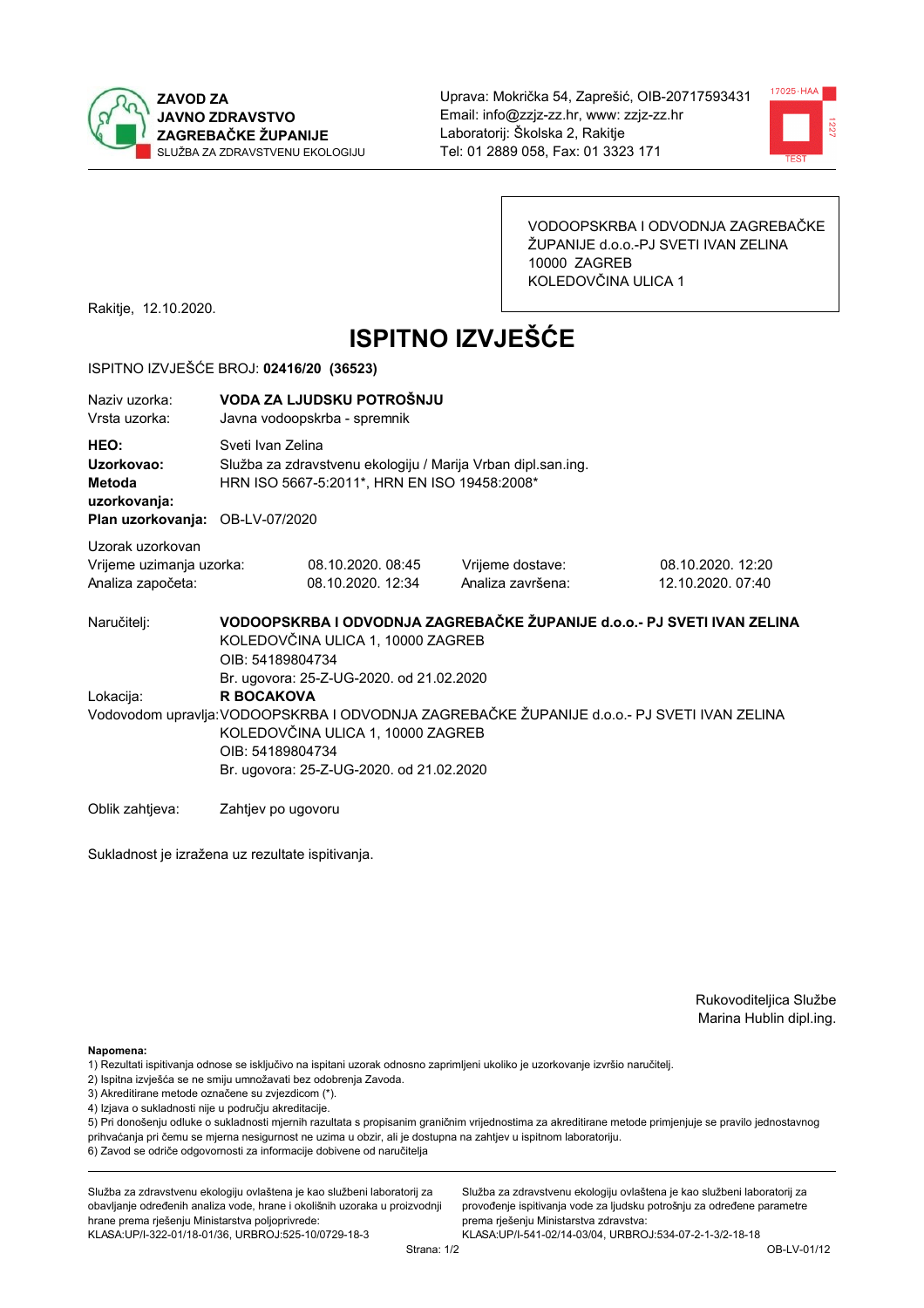



VODOOPSKRBA I ODVODNJA ZAGREBAČKE ŽUPANIJE d.o.o.-PJ SVETI IVAN ZELINA 10000 ZAGREB KOLEDOVČINA ULICA 1

Rakitje, 12.10.2020.

# **ISPITNO IZVJEŠĆE**

#### ISPITNO IZVJEŠĆE BROJ: 02416/20 (36523)

| Naziv uzorka:<br>Vrsta uzorka:                                                  | VODA ZA LJUDSKU POTROŠNJU<br>Javna vodoopskrba - spremnik                                                                                                                                                              |                                                                                                                                   |                                                                         |                                        |  |  |
|---------------------------------------------------------------------------------|------------------------------------------------------------------------------------------------------------------------------------------------------------------------------------------------------------------------|-----------------------------------------------------------------------------------------------------------------------------------|-------------------------------------------------------------------------|----------------------------------------|--|--|
| HEO:<br>Uzorkovao:<br>Metoda<br>uzorkovanja:<br>Plan uzorkovanja: OB-LV-07/2020 |                                                                                                                                                                                                                        | Sveti Ivan Zelina<br>Služba za zdravstvenu ekologiju / Marija Vrban dipl.san.ing.<br>HRN ISO 5667-5:2011*, HRN EN ISO 19458:2008* |                                                                         |                                        |  |  |
| Uzorak uzorkovan<br>Vrijeme uzimanja uzorka:<br>Analiza započeta:               |                                                                                                                                                                                                                        | 08.10.2020. 08:45<br>08.10.2020. 12:34                                                                                            | Vrijeme dostave:<br>Analiza završena:                                   | 08.10.2020. 12:20<br>12.10.2020. 07:40 |  |  |
| Naručitelj:                                                                     | OIB: 54189804734                                                                                                                                                                                                       | KOLEDOVČINA ULICA 1, 10000 ZAGREB<br>Br. ugovora: 25-Z-UG-2020. od 21.02.2020                                                     | VODOOPSKRBA I ODVODNJA ZAGREBAČKE ŽUPANIJE d.o.o.- PJ SVETI IVAN ZELINA |                                        |  |  |
| Lokacija:                                                                       | <b>R BOCAKOVA</b><br>Vodovodom upravlja: VODOOPSKRBA I ODVODNJA ZAGREBAČKE ŽUPANIJE d.o.o. - PJ SVETI IVAN ZELINA<br>KOLEDOVČINA ULICA 1, 10000 ZAGREB<br>OIB: 54189804734<br>Br. ugovora: 25-Z-UG-2020. od 21.02.2020 |                                                                                                                                   |                                                                         |                                        |  |  |
| Oblik zahtjeva:                                                                 | Zahtjev po ugovoru                                                                                                                                                                                                     |                                                                                                                                   |                                                                         |                                        |  |  |

Sukladnost je izražena uz rezultate ispitivanja.

Rukovoditeljica Službe Marina Hublin dipl.ing.

Napomena:

- 1) Rezultati ispitivanja odnose se isključivo na ispitani uzorak odnosno zaprimljeni ukoliko je uzorkovanje izvršio naručiteli.
- 2) Ispitna izvješća se ne smiju umnožavati bez odobrenja Zavoda.
- 3) Akreditirane metode označene su zvjezdicom (\*).
- 4) Izjava o sukladnosti nije u području akreditacije.

5) Pri donošenju odluke o sukladnosti mjernih razultata s propisanim graničnim vrijednostima za akreditirane metode primjenjuje se pravilo jednostavnog prihvaćanja pri čemu se mjerna nesigurnost ne uzima u obzir, ali je dostupna na zahtjev u ispitnom laboratoriju.

6) Zavod se odriče odgovornosti za informacije dobivene od naručitelja

Služba za zdravstvenu ekologiju ovlaštena je kao službeni laboratorij za obavljanje određenih analiza vode, hrane i okolišnih uzoraka u proizvodnji hrane prema rješenju Ministarstva poljoprivrede:

KLASA: UP/I-322-01/18-01/36, URBROJ: 525-10/0729-18-3

Služba za zdravstvenu ekologiju ovlaštena je kao službeni laboratorij za provođenje ispitivanja vode za ljudsku potrošnju za određene parametre prema riešenju Ministarstva zdravstva: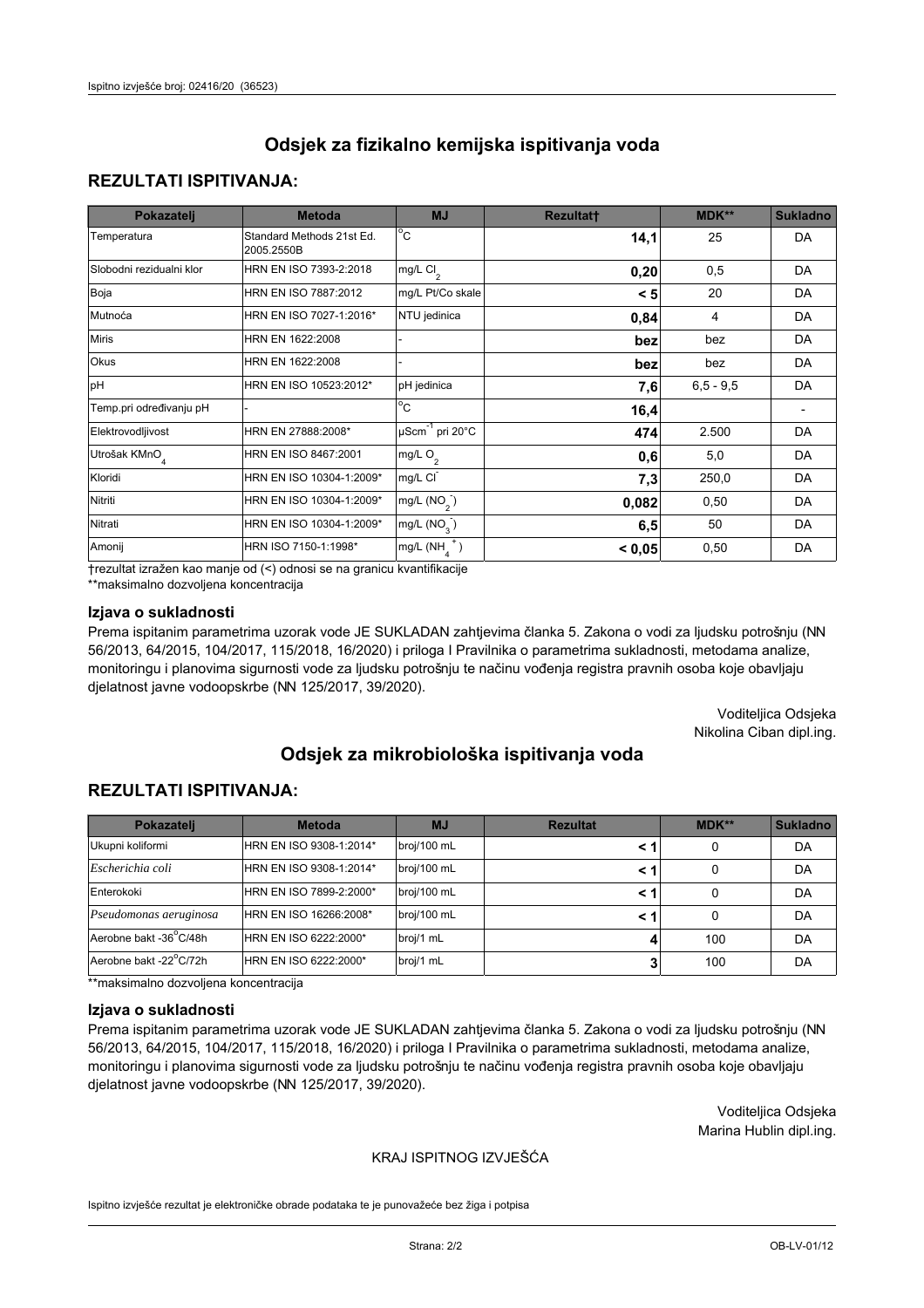## **REZULTATI ISPITIVANJA:**

| Pokazatelj                | <b>Metoda</b>                           | <b>MJ</b>                   | <b>Rezultatt</b> | <b>MDK**</b> | <b>Sukladno</b> |
|---------------------------|-----------------------------------------|-----------------------------|------------------|--------------|-----------------|
| Temperatura               | Standard Methods 21st Ed.<br>2005.2550B | $^{\circ}$ C                | 14,1             | 25           | <b>DA</b>       |
| Slobodni rezidualni klor  | HRN EN ISO 7393-2:2018                  | mg/L $Cl_2$                 | 0,20             | 0,5          | DA              |
| Boja                      | HRN EN ISO 7887:2012                    | mg/L Pt/Co skale            | < 5              | 20           | <b>DA</b>       |
| Mutnoća                   | HRN EN ISO 7027-1:2016*                 | NTU jedinica                | 0,84             | 4            | DA              |
| <b>Miris</b>              | HRN EN 1622:2008                        |                             | bez              | bez          | DA              |
| Okus                      | HRN EN 1622:2008                        |                             | bez              | bez          | DA              |
| pH                        | HRN EN ISO 10523:2012*                  | pH jedinica                 | 7,6              | $6.5 - 9.5$  | <b>DA</b>       |
| Temp.pri određivanju pH   |                                         | $\overline{c}$              | 16,4             |              |                 |
| Elektrovodljivost         | HRN EN 27888:2008*                      | µScm <sup>-1</sup> pri 20°C | 474              | 2.500        | DA              |
| Utrošak KMnO <sub>4</sub> | HRN EN ISO 8467:2001                    | mg/L O <sub>2</sub>         | 0,6              | 5,0          | DA              |
| Kloridi                   | HRN EN ISO 10304-1:2009*                | mg/L CI                     | 7,3              | 250,0        | DA              |
| Nitriti                   | HRN EN ISO 10304-1:2009*                | mg/L $(NO2)$                | 0,082            | 0,50         | DA              |
| Nitrati                   | HRN EN ISO 10304-1:2009*                | mg/L (NO <sub>3</sub> )     | 6,5              | 50           | DA              |
| Amonij                    | HRN ISO 7150-1:1998*                    | mg/L $(NH_A^+)$             | < 0,05           | 0,50         | DA              |

trezultat izražen kao manje od (<) odnosi se na granicu kvantifikacije

\*\*maksimalno dozvoljena koncentracija

#### Izjava o sukladnosti

Prema ispitanim parametrima uzorak vode JE SUKLADAN zahtjevima članka 5. Zakona o vodi za ljudsku potrošnju (NN 56/2013, 64/2015, 104/2017, 115/2018, 16/2020) i priloga I Pravilnika o parametrima sukladnosti, metodama analize, monitoringu i planovima sigurnosti vode za ljudsku potrošnju te načinu vođenja registra pravnih osoba koje obavljaju djelatnost javne vodoopskrbe (NN 125/2017, 39/2020).

> Voditeljica Odsjeka Nikolina Ciban dipl.ing.

# Odsiek za mikrobiološka ispitivanja voda

## **REZULTATI ISPITIVANJA:**

| Pokazatelj             | <b>Metoda</b>           | <b>MJ</b>   | <b>Rezultat</b> | MDK** | <b>Sukladno</b> |
|------------------------|-------------------------|-------------|-----------------|-------|-----------------|
| Ukupni koliformi       | HRN EN ISO 9308-1:2014* | broj/100 mL |                 | 0     | DA              |
| Escherichia coli       | HRN EN ISO 9308-1:2014* | broj/100 mL | < 1             | 0     | DA              |
| Enterokoki             | HRN EN ISO 7899-2:2000* | broj/100 mL | < 1             | 0     | DA              |
| Pseudomonas aeruginosa | HRN EN ISO 16266:2008*  | broj/100 mL | < 1             | 0     | DA              |
| Aerobne bakt -36°C/48h | HRN EN ISO 6222:2000*   | broj/1 mL   |                 | 100   | DA              |
| Aerobne bakt -22°C/72h | HRN EN ISO 6222:2000*   | broj/1 mL   |                 | 100   | DA              |

\*\*maksimalno dozvoljena koncentracija

#### Izjava o sukladnosti

Prema ispitanim parametrima uzorak vode JE SUKLADAN zahtievima članka 5. Zakona o vodi za ljudsku potrošnju (NN 56/2013, 64/2015, 104/2017, 115/2018, 16/2020) i priloga I Pravilnika o parametrima sukladnosti, metodama analize, monitoringu i planovima sigurnosti vode za ljudsku potrošnju te načinu vođenja registra pravnih osoba koje obavljaju djelatnost javne vodoopskrbe (NN 125/2017, 39/2020).

> Voditeljica Odsjeka Marina Hublin dipl.ing.

### KRAJ ISPITNOG IZVJEŠĆA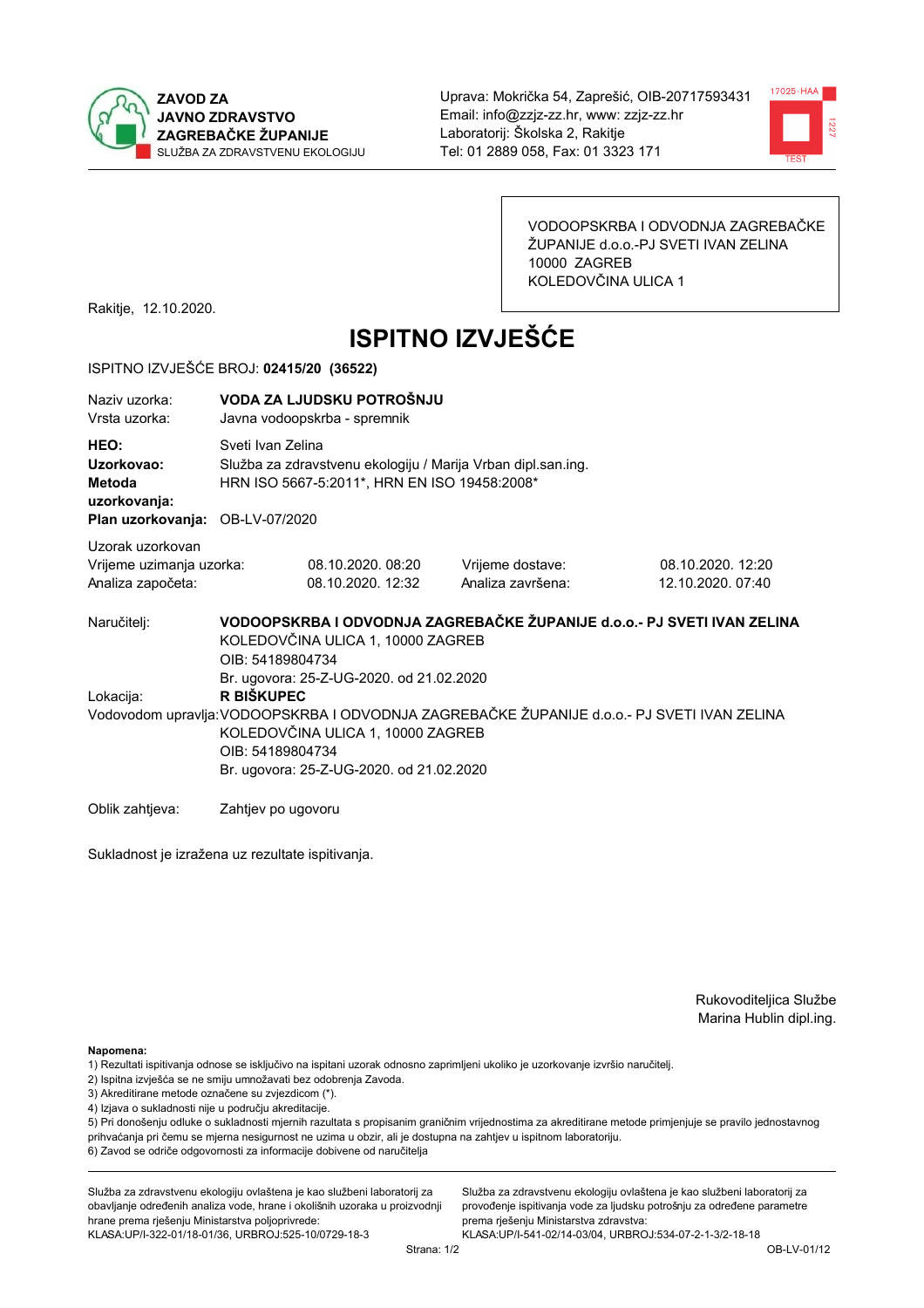



VODOOPSKRBA I ODVODNJA ZAGREBAČKE ŽUPANIJE d.o.o.-PJ SVETI IVAN ZELINA 10000 ZAGREB KOLEDOVČINA ULICA 1

Rakitje, 12.10.2020.

# **ISPITNO IZVJEŠĆE**

#### ISPITNO IZVJEŠĆE BROJ: 02415/20 (36522)

| Naziy uzorka:<br>Vrsta uzorka:                                                  | VODA ZA LJUDSKU POTROŠNJU<br>Javna vodoopskrba - spremnik                                                                                                                                                      |                                        |                                       |                                        |  |  |  |
|---------------------------------------------------------------------------------|----------------------------------------------------------------------------------------------------------------------------------------------------------------------------------------------------------------|----------------------------------------|---------------------------------------|----------------------------------------|--|--|--|
| HEO:<br>Uzorkovao:<br>Metoda<br>uzorkovanja:<br>Plan uzorkovanja: OB-LV-07/2020 | Sveti Ivan Zelina<br>Služba za zdravstvenu ekologiju / Marija Vrban dipl.san.ing.<br>HRN ISO 5667-5:2011*, HRN EN ISO 19458:2008*                                                                              |                                        |                                       |                                        |  |  |  |
| Uzorak uzorkovan<br>Vrijeme uzimanja uzorka:<br>Analiza započeta:               |                                                                                                                                                                                                                | 08.10.2020, 08:20<br>08.10.2020. 12:32 | Vrijeme dostave:<br>Analiza završena: | 08.10.2020. 12:20<br>12.10.2020. 07:40 |  |  |  |
| Naručitelj:                                                                     | VODOOPSKRBA I ODVODNJA ZAGREBAČKE ŽUPANIJE d.o.o.- PJ SVETI IVAN ZELINA<br>KOLEDOVČINA ULICA 1, 10000 ZAGREB<br>OIB: 54189804734<br>Br. ugovora: 25-Z-UG-2020. od 21.02.2020                                   |                                        |                                       |                                        |  |  |  |
| Lokacija:                                                                       | R BIŠKUPEC<br>Vodovodom upravlja: VODOOPSKRBA I ODVODNJA ZAGREBAČKE ŽUPANIJE d.o.o.- PJ SVETI IVAN ZELINA<br>KOLEDOVČINA ULICA 1, 10000 ZAGREB<br>OIB: 54189804734<br>Br. ugovora: 25-Z-UG-2020. od 21.02.2020 |                                        |                                       |                                        |  |  |  |
| Oblik zahtjeva:                                                                 | Zahtjev po ugovoru                                                                                                                                                                                             |                                        |                                       |                                        |  |  |  |

Sukladnost je izražena uz rezultate ispitivanja.

Rukovoditeljica Službe Marina Hublin dipl.ing.

Napomena:

- 1) Rezultati ispitivanja odnose se isključivo na ispitani uzorak odnosno zaprimljeni ukoliko je uzorkovanje izvršio naručiteli.
- 2) Ispitna izvješća se ne smiju umnožavati bez odobrenja Zavoda.
- 3) Akreditirane metode označene su zvjezdicom (\*).
- 4) Izjava o sukladnosti nije u području akreditacije.

5) Pri donošenju odluke o sukladnosti mjernih razultata s propisanim graničnim vrijednostima za akreditirane metode primjenjuje se pravilo jednostavnog prihvaćanja pri čemu se mjerna nesigurnost ne uzima u obzir, ali je dostupna na zahtjev u ispitnom laboratoriju.

6) Zavod se odriče odgovornosti za informacije dobivene od naručitelja

Služba za zdravstvenu ekologiju ovlaštena je kao službeni laboratorij za obavljanje određenih analiza vode, hrane i okolišnih uzoraka u proizvodnji hrane prema rješenju Ministarstva poljoprivrede:

KLASA: UP/I-322-01/18-01/36, URBROJ: 525-10/0729-18-3

Služba za zdravstvenu ekologiju ovlaštena je kao službeni laboratorij za provođenje ispitivanja vode za ljudsku potrošnju za određene parametre prema riešenju Ministarstva zdravstva: